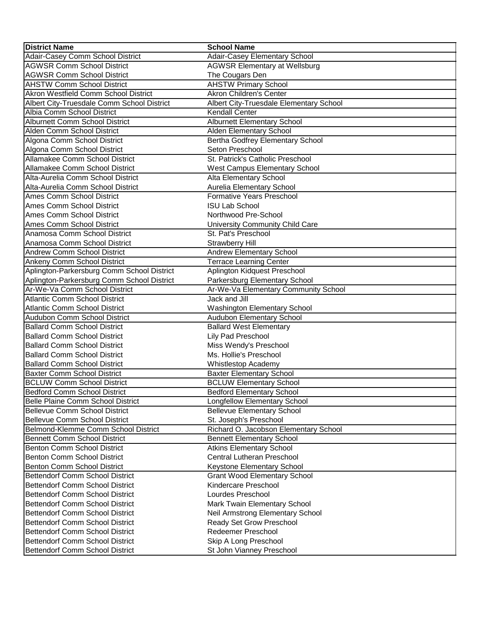| <b>District Name</b>                                                      | <b>School Name</b>                                    |
|---------------------------------------------------------------------------|-------------------------------------------------------|
| Adair-Casey Comm School District                                          | Adair-Casey Elementary School                         |
| <b>AGWSR Comm School District</b>                                         | <b>AGWSR Elementary at Wellsburg</b>                  |
| <b>AGWSR Comm School District</b>                                         | The Cougars Den                                       |
| <b>AHSTW Comm School District</b>                                         | <b>AHSTW Primary School</b>                           |
| <b>Akron Westfield Comm School District</b>                               | <b>Akron Children's Center</b>                        |
| Albert City-Truesdale Comm School District                                | Albert City-Truesdale Elementary School               |
| Albia Comm School District                                                | <b>Kendall Center</b>                                 |
| Alburnett Comm School District                                            | <b>Alburnett Elementary School</b>                    |
| Alden Comm School District                                                | Alden Elementary School                               |
| Algona Comm School District                                               | Bertha Godfrey Elementary School                      |
| Algona Comm School District                                               | Seton Preschool                                       |
| Allamakee Comm School District                                            | St. Patrick's Catholic Preschool                      |
| Allamakee Comm School District                                            | <b>West Campus Elementary School</b>                  |
| Alta-Aurelia Comm School District                                         | Alta Elementary School                                |
| Alta-Aurelia Comm School District                                         | Aurelia Elementary School                             |
| Ames Comm School District                                                 | <b>Formative Years Preschool</b>                      |
| Ames Comm School District                                                 | <b>ISU Lab School</b>                                 |
| Ames Comm School District                                                 | Northwood Pre-School                                  |
| Ames Comm School District                                                 | University Community Child Care                       |
| Anamosa Comm School District                                              | St. Pat's Preschool                                   |
| Anamosa Comm School District                                              | <b>Strawberry Hill</b>                                |
| Andrew Comm School District                                               | Andrew Elementary School                              |
| <b>Ankeny Comm School District</b>                                        | <b>Terrace Learning Center</b>                        |
| Aplington-Parkersburg Comm School District                                | Aplington Kidquest Preschool                          |
| Aplington-Parkersburg Comm School District                                | Parkersburg Elementary School                         |
| Ar-We-Va Comm School District                                             | Ar-We-Va Elementary Community School                  |
| <b>Atlantic Comm School District</b>                                      | Jack and Jill                                         |
| <b>Atlantic Comm School District</b>                                      | <b>Washington Elementary School</b>                   |
| Audubon Comm School District                                              | Audubon Elementary School                             |
| <b>Ballard Comm School District</b>                                       | <b>Ballard West Elementary</b>                        |
| <b>Ballard Comm School District</b>                                       | Lily Pad Preschool                                    |
| <b>Ballard Comm School District</b>                                       | Miss Wendy's Preschool                                |
| <b>Ballard Comm School District</b>                                       | Ms. Hollie's Preschool                                |
| <b>Ballard Comm School District</b>                                       | Whistlestop Academy                                   |
| <b>Baxter Comm School District</b>                                        | <b>Baxter Elementary School</b>                       |
| <b>BCLUW Comm School District</b>                                         | <b>BCLUW Elementary School</b>                        |
| Bedford Comm School District                                              | <b>Bedford Elementary School</b>                      |
| Belle Plaine Comm School District                                         | Longfellow Elementary School                          |
| <b>Bellevue Comm School District</b>                                      | <b>Bellevue Elementary School</b>                     |
| <b>Bellevue Comm School District</b>                                      | St. Joseph's Preschool                                |
| Belmond-Klemme Comm School District                                       | Richard O. Jacobson Elementary School                 |
| <b>Bennett Comm School District</b>                                       | <b>Bennett Elementary School</b>                      |
| Benton Comm School District                                               | <b>Atkins Elementary School</b>                       |
| Benton Comm School District                                               | Central Lutheran Preschool                            |
| Benton Comm School District                                               | Keystone Elementary School                            |
| Bettendorf Comm School District                                           | <b>Grant Wood Elementary School</b>                   |
| Bettendorf Comm School District                                           | Kindercare Preschool                                  |
| Bettendorf Comm School District                                           | Lourdes Preschool                                     |
| <b>Bettendorf Comm School District</b><br>Bettendorf Comm School District | Mark Twain Elementary School                          |
| Bettendorf Comm School District                                           | Neil Armstrong Elementary School                      |
| Bettendorf Comm School District                                           | Ready Set Grow Preschool<br><b>Redeemer Preschool</b> |
| Bettendorf Comm School District                                           | Skip A Long Preschool                                 |
| Bettendorf Comm School District                                           | St John Vianney Preschool                             |
|                                                                           |                                                       |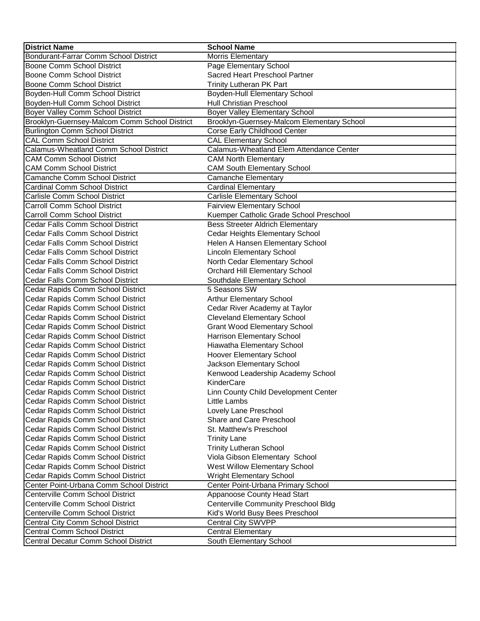| <b>District Name</b>                          | <b>School Name</b>                          |
|-----------------------------------------------|---------------------------------------------|
| Bondurant-Farrar Comm School District         | <b>Morris Elementary</b>                    |
| Boone Comm School District                    | Page Elementary School                      |
| Boone Comm School District                    | Sacred Heart Preschool Partner              |
| Boone Comm School District                    | <b>Trinity Lutheran PK Part</b>             |
| Boyden-Hull Comm School District              | Boyden-Hull Elementary School               |
| Boyden-Hull Comm School District              | Hull Christian Preschool                    |
| Boyer Valley Comm School District             | <b>Boyer Valley Elementary School</b>       |
| Brooklyn-Guernsey-Malcom Comm School District | Brooklyn-Guernsey-Malcom Elementary School  |
| Burlington Comm School District               | Corse Early Childhood Center                |
| <b>CAL Comm School District</b>               | <b>CAL Elementary School</b>                |
| <b>Calamus-Wheatland Comm School District</b> | Calamus-Wheatland Elem Attendance Center    |
| <b>CAM Comm School District</b>               | <b>CAM North Elementary</b>                 |
| <b>CAM Comm School District</b>               | <b>CAM South Elementary School</b>          |
| Camanche Comm School District                 | <b>Camanche Elementary</b>                  |
| <b>Cardinal Comm School District</b>          | <b>Cardinal Elementary</b>                  |
| Carlisle Comm School District                 | <b>Carlisle Elementary School</b>           |
| <b>Carroll Comm School District</b>           | <b>Fairview Elementary School</b>           |
| <b>Carroll Comm School District</b>           | Kuemper Catholic Grade School Preschool     |
| Cedar Falls Comm School District              | <b>Bess Streeter Aldrich Elementary</b>     |
| Cedar Falls Comm School District              | Cedar Heights Elementary School             |
| Cedar Falls Comm School District              | Helen A Hansen Elementary School            |
| Cedar Falls Comm School District              | <b>Lincoln Elementary School</b>            |
| Cedar Falls Comm School District              | North Cedar Elementary School               |
| Cedar Falls Comm School District              | Orchard Hill Elementary School              |
| Cedar Falls Comm School District              | Southdale Elementary School                 |
| Cedar Rapids Comm School District             | 5 Seasons SW                                |
| Cedar Rapids Comm School District             | <b>Arthur Elementary School</b>             |
| Cedar Rapids Comm School District             | Cedar River Academy at Taylor               |
| Cedar Rapids Comm School District             | <b>Cleveland Elementary School</b>          |
| Cedar Rapids Comm School District             | <b>Grant Wood Elementary School</b>         |
| Cedar Rapids Comm School District             | Harrison Elementary School                  |
| Cedar Rapids Comm School District             | Hiawatha Elementary School                  |
| Cedar Rapids Comm School District             | Hoover Elementary School                    |
| Cedar Rapids Comm School District             | Jackson Elementary School                   |
| Cedar Rapids Comm School District             | Kenwood Leadership Academy School           |
| Cedar Rapids Comm School District             | KinderCare                                  |
| Cedar Rapids Comm School District             | Linn County Child Development Center        |
| Cedar Rapids Comm School District             | Little Lambs                                |
| Cedar Rapids Comm School District             | Lovely Lane Preschool                       |
| Cedar Rapids Comm School District             | Share and Care Preschool                    |
| Cedar Rapids Comm School District             | St. Matthew's Preschool                     |
| Cedar Rapids Comm School District             | <b>Trinity Lane</b>                         |
| Cedar Rapids Comm School District             | <b>Trinity Lutheran School</b>              |
| Cedar Rapids Comm School District             | Viola Gibson Elementary School              |
| Cedar Rapids Comm School District             | West Willow Elementary School               |
| Cedar Rapids Comm School District             | <b>Wright Elementary School</b>             |
| Center Point-Urbana Comm School District      | Center Point-Urbana Primary School          |
| Centerville Comm School District              | Appanoose County Head Start                 |
| Centerville Comm School District              | <b>Centerville Community Preschool Bldg</b> |
| Centerville Comm School District              | Kid's World Busy Bees Preschool             |
| Central City Comm School District             | <b>Central City SWVPP</b>                   |
| Central Comm School District                  | <b>Central Elementary</b>                   |
| Central Decatur Comm School District          | South Elementary School                     |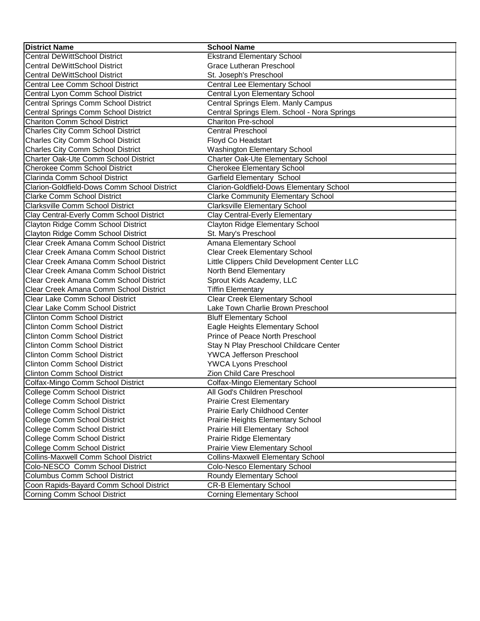| <b>District Name</b>                        | <b>School Name</b>                           |
|---------------------------------------------|----------------------------------------------|
| <b>Central DeWittSchool District</b>        | <b>Ekstrand Elementary School</b>            |
| <b>Central DeWittSchool District</b>        | <b>Grace Lutheran Preschool</b>              |
| <b>Central DeWittSchool District</b>        | St. Joseph's Preschool                       |
| Central Lee Comm School District            | <b>Central Lee Elementary School</b>         |
| Central Lyon Comm School District           | Central Lyon Elementary School               |
| Central Springs Comm School District        | Central Springs Elem. Manly Campus           |
| Central Springs Comm School District        | Central Springs Elem. School - Nora Springs  |
| <b>Chariton Comm School District</b>        | <b>Chariton Pre-school</b>                   |
| <b>Charles City Comm School District</b>    | <b>Central Preschool</b>                     |
| Charles City Comm School District           | Floyd Co Headstart                           |
| Charles City Comm School District           | Washington Elementary School                 |
| Charter Oak-Ute Comm School District        | Charter Oak-Ute Elementary School            |
| <b>Cherokee Comm School District</b>        | <b>Cherokee Elementary School</b>            |
| Clarinda Comm School District               | Garfield Elementary School                   |
| Clarion-Goldfield-Dows Comm School District | Clarion-Goldfield-Dows Elementary School     |
| <b>Clarke Comm School District</b>          | <b>Clarke Community Elementary School</b>    |
| <b>Clarksville Comm School District</b>     | <b>Clarksville Elementary School</b>         |
| Clay Central-Everly Comm School District    | <b>Clay Central-Everly Elementary</b>        |
| Clayton Ridge Comm School District          | Clayton Ridge Elementary School              |
| Clayton Ridge Comm School District          | St. Mary's Preschool                         |
| Clear Creek Amana Comm School District      | Amana Elementary School                      |
| Clear Creek Amana Comm School District      | <b>Clear Creek Elementary School</b>         |
| Clear Creek Amana Comm School District      | Little Clippers Child Development Center LLC |
| Clear Creek Amana Comm School District      | North Bend Elementary                        |
| Clear Creek Amana Comm School District      | Sprout Kids Academy, LLC                     |
| Clear Creek Amana Comm School District      | <b>Tiffin Elementary</b>                     |
| Clear Lake Comm School District             | <b>Clear Creek Elementary School</b>         |
| Clear Lake Comm School District             | Lake Town Charlie Brown Preschool            |
| <b>Clinton Comm School District</b>         | <b>Bluff Elementary School</b>               |
| <b>Clinton Comm School District</b>         | Eagle Heights Elementary School              |
| <b>Clinton Comm School District</b>         | Prince of Peace North Preschool              |
| <b>Clinton Comm School District</b>         | Stay N Play Preschool Childcare Center       |
| <b>Clinton Comm School District</b>         | YWCA Jefferson Preschool                     |
| <b>Clinton Comm School District</b>         | <b>YWCA Lyons Preschool</b>                  |
| Clinton Comm School District                | Zion Child Care Preschool                    |
| Colfax-Mingo Comm School District           | Colfax-Mingo Elementary School               |
| College Comm School District                | All God's Children Preschool                 |
| College Comm School District                | <b>Prairie Crest Elementary</b>              |
| College Comm School District                | Prairie Early Childhood Center               |
| College Comm School District                | Prairie Heights Elementary School            |
| College Comm School District                | Prairie Hill Elementary School               |
| College Comm School District                | Prairie Ridge Elementary                     |
| College Comm School District                | Prairie View Elementary School               |
| Collins-Maxwell Comm School District        | <b>Collins-Maxwell Elementary School</b>     |
| Colo-NESCO Comm School District             | Colo-Nesco Elementary School                 |
| Columbus Comm School District               | Roundy Elementary School                     |
| Coon Rapids-Bayard Comm School District     | <b>CR-B Elementary School</b>                |
| <b>Corning Comm School District</b>         | <b>Corning Elementary School</b>             |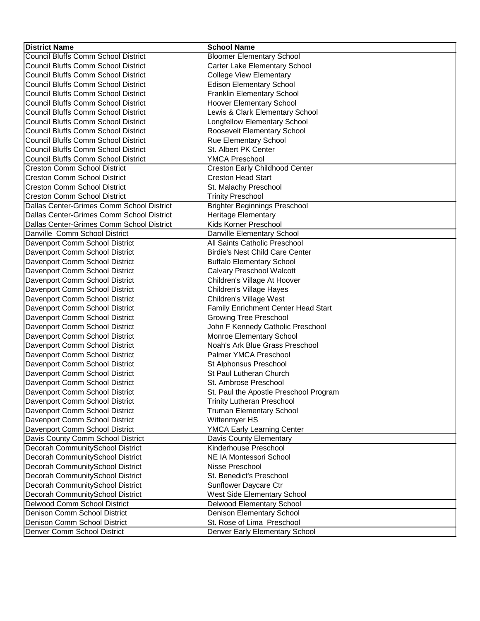| <b>Council Bluffs Comm School District</b><br><b>Bloomer Elementary School</b><br><b>Council Bluffs Comm School District</b><br>Carter Lake Elementary School<br><b>Council Bluffs Comm School District</b><br><b>College View Elementary</b><br><b>Council Bluffs Comm School District</b><br><b>Edison Elementary School</b><br><b>Council Bluffs Comm School District</b><br><b>Franklin Elementary School</b><br><b>Council Bluffs Comm School District</b><br><b>Hoover Elementary School</b><br><b>Council Bluffs Comm School District</b><br>Lewis & Clark Elementary School<br>Longfellow Elementary School<br><b>Council Bluffs Comm School District</b><br><b>Council Bluffs Comm School District</b><br>Roosevelt Elementary School<br><b>Council Bluffs Comm School District</b><br>Rue Elementary School<br><b>Council Bluffs Comm School District</b><br>St. Albert PK Center<br>Council Bluffs Comm School District<br><b>YMCA Preschool</b><br>Creston Early Childhood Center<br><b>Creston Comm School District</b><br><b>Creston Comm School District</b><br><b>Creston Head Start</b><br><b>Creston Comm School District</b><br>St. Malachy Preschool<br><b>Creston Comm School District</b><br><b>Trinity Preschool</b><br>Dallas Center-Grimes Comm School District<br><b>Brighter Beginnings Preschool</b><br>Dallas Center-Grimes Comm School District<br><b>Heritage Elementary</b><br>Kids Korner Preschool<br>Dallas Center-Grimes Comm School District<br>Danville Comm School District<br>Danville Elementary School<br>Davenport Comm School District<br>All Saints Catholic Preschool<br><b>Birdie's Nest Child Care Center</b><br>Davenport Comm School District<br>Davenport Comm School District<br><b>Buffalo Elementary School</b><br>Davenport Comm School District<br><b>Calvary Preschool Walcott</b><br>Davenport Comm School District<br>Children's Village At Hoover<br>Children's Village Hayes<br>Davenport Comm School District<br>Davenport Comm School District<br>Children's Village West<br>Family Enrichment Center Head Start<br>Davenport Comm School District<br><b>Growing Tree Preschool</b><br>Davenport Comm School District<br>John F Kennedy Catholic Preschool<br>Davenport Comm School District<br>Davenport Comm School District<br>Monroe Elementary School<br>Noah's Ark Blue Grass Preschool<br>Davenport Comm School District<br>Davenport Comm School District<br>Palmer YMCA Preschool<br>Davenport Comm School District<br>St Alphonsus Preschool<br>Davenport Comm School District<br>St Paul Lutheran Church<br>Davenport Comm School District<br>St. Ambrose Preschool<br>Davenport Comm School District<br>St. Paul the Apostle Preschool Program<br>Davenport Comm School District<br><b>Trinity Lutheran Preschool</b><br>Davenport Comm School District<br><b>Truman Elementary School</b><br>Davenport Comm School District<br>Wittenmyer HS<br>Davenport Comm School District<br><b>YMCA Early Learning Center</b><br>Davis County Comm School District<br>Davis County Elementary<br>Decorah CommunitySchool District<br>Kinderhouse Preschool<br>Decorah CommunitySchool District<br><b>NE IA Montessori School</b><br>Decorah CommunitySchool District<br>Nisse Preschool<br>Decorah CommunitySchool District<br>St. Benedict's Preschool<br>Decorah CommunitySchool District<br>Sunflower Daycare Ctr<br>Decorah CommunitySchool District<br>West Side Elementary School<br>Delwood Comm School District<br>Delwood Elementary School<br>Denison Comm School District<br>Denison Elementary School<br>Denison Comm School District<br>St. Rose of Lima Preschool | <b>District Name</b>        | <b>School Name</b>             |
|---------------------------------------------------------------------------------------------------------------------------------------------------------------------------------------------------------------------------------------------------------------------------------------------------------------------------------------------------------------------------------------------------------------------------------------------------------------------------------------------------------------------------------------------------------------------------------------------------------------------------------------------------------------------------------------------------------------------------------------------------------------------------------------------------------------------------------------------------------------------------------------------------------------------------------------------------------------------------------------------------------------------------------------------------------------------------------------------------------------------------------------------------------------------------------------------------------------------------------------------------------------------------------------------------------------------------------------------------------------------------------------------------------------------------------------------------------------------------------------------------------------------------------------------------------------------------------------------------------------------------------------------------------------------------------------------------------------------------------------------------------------------------------------------------------------------------------------------------------------------------------------------------------------------------------------------------------------------------------------------------------------------------------------------------------------------------------------------------------------------------------------------------------------------------------------------------------------------------------------------------------------------------------------------------------------------------------------------------------------------------------------------------------------------------------------------------------------------------------------------------------------------------------------------------------------------------------------------------------------------------------------------------------------------------------------------------------------------------------------------------------------------------------------------------------------------------------------------------------------------------------------------------------------------------------------------------------------------------------------------------------------------------------------------------------------------------------------------------------------------------------------------------------------------------------------------------------------------------------------------------------------------------------------------------------------------------------------------------------------------------------------------------------------------------------------------------------------------------------------------------------------------------------------------------------------------------------------------------------------------------------------------------|-----------------------------|--------------------------------|
|                                                                                                                                                                                                                                                                                                                                                                                                                                                                                                                                                                                                                                                                                                                                                                                                                                                                                                                                                                                                                                                                                                                                                                                                                                                                                                                                                                                                                                                                                                                                                                                                                                                                                                                                                                                                                                                                                                                                                                                                                                                                                                                                                                                                                                                                                                                                                                                                                                                                                                                                                                                                                                                                                                                                                                                                                                                                                                                                                                                                                                                                                                                                                                                                                                                                                                                                                                                                                                                                                                                                                                                                                                                   |                             |                                |
|                                                                                                                                                                                                                                                                                                                                                                                                                                                                                                                                                                                                                                                                                                                                                                                                                                                                                                                                                                                                                                                                                                                                                                                                                                                                                                                                                                                                                                                                                                                                                                                                                                                                                                                                                                                                                                                                                                                                                                                                                                                                                                                                                                                                                                                                                                                                                                                                                                                                                                                                                                                                                                                                                                                                                                                                                                                                                                                                                                                                                                                                                                                                                                                                                                                                                                                                                                                                                                                                                                                                                                                                                                                   |                             |                                |
|                                                                                                                                                                                                                                                                                                                                                                                                                                                                                                                                                                                                                                                                                                                                                                                                                                                                                                                                                                                                                                                                                                                                                                                                                                                                                                                                                                                                                                                                                                                                                                                                                                                                                                                                                                                                                                                                                                                                                                                                                                                                                                                                                                                                                                                                                                                                                                                                                                                                                                                                                                                                                                                                                                                                                                                                                                                                                                                                                                                                                                                                                                                                                                                                                                                                                                                                                                                                                                                                                                                                                                                                                                                   |                             |                                |
|                                                                                                                                                                                                                                                                                                                                                                                                                                                                                                                                                                                                                                                                                                                                                                                                                                                                                                                                                                                                                                                                                                                                                                                                                                                                                                                                                                                                                                                                                                                                                                                                                                                                                                                                                                                                                                                                                                                                                                                                                                                                                                                                                                                                                                                                                                                                                                                                                                                                                                                                                                                                                                                                                                                                                                                                                                                                                                                                                                                                                                                                                                                                                                                                                                                                                                                                                                                                                                                                                                                                                                                                                                                   |                             |                                |
|                                                                                                                                                                                                                                                                                                                                                                                                                                                                                                                                                                                                                                                                                                                                                                                                                                                                                                                                                                                                                                                                                                                                                                                                                                                                                                                                                                                                                                                                                                                                                                                                                                                                                                                                                                                                                                                                                                                                                                                                                                                                                                                                                                                                                                                                                                                                                                                                                                                                                                                                                                                                                                                                                                                                                                                                                                                                                                                                                                                                                                                                                                                                                                                                                                                                                                                                                                                                                                                                                                                                                                                                                                                   |                             |                                |
|                                                                                                                                                                                                                                                                                                                                                                                                                                                                                                                                                                                                                                                                                                                                                                                                                                                                                                                                                                                                                                                                                                                                                                                                                                                                                                                                                                                                                                                                                                                                                                                                                                                                                                                                                                                                                                                                                                                                                                                                                                                                                                                                                                                                                                                                                                                                                                                                                                                                                                                                                                                                                                                                                                                                                                                                                                                                                                                                                                                                                                                                                                                                                                                                                                                                                                                                                                                                                                                                                                                                                                                                                                                   |                             |                                |
|                                                                                                                                                                                                                                                                                                                                                                                                                                                                                                                                                                                                                                                                                                                                                                                                                                                                                                                                                                                                                                                                                                                                                                                                                                                                                                                                                                                                                                                                                                                                                                                                                                                                                                                                                                                                                                                                                                                                                                                                                                                                                                                                                                                                                                                                                                                                                                                                                                                                                                                                                                                                                                                                                                                                                                                                                                                                                                                                                                                                                                                                                                                                                                                                                                                                                                                                                                                                                                                                                                                                                                                                                                                   |                             |                                |
|                                                                                                                                                                                                                                                                                                                                                                                                                                                                                                                                                                                                                                                                                                                                                                                                                                                                                                                                                                                                                                                                                                                                                                                                                                                                                                                                                                                                                                                                                                                                                                                                                                                                                                                                                                                                                                                                                                                                                                                                                                                                                                                                                                                                                                                                                                                                                                                                                                                                                                                                                                                                                                                                                                                                                                                                                                                                                                                                                                                                                                                                                                                                                                                                                                                                                                                                                                                                                                                                                                                                                                                                                                                   |                             |                                |
|                                                                                                                                                                                                                                                                                                                                                                                                                                                                                                                                                                                                                                                                                                                                                                                                                                                                                                                                                                                                                                                                                                                                                                                                                                                                                                                                                                                                                                                                                                                                                                                                                                                                                                                                                                                                                                                                                                                                                                                                                                                                                                                                                                                                                                                                                                                                                                                                                                                                                                                                                                                                                                                                                                                                                                                                                                                                                                                                                                                                                                                                                                                                                                                                                                                                                                                                                                                                                                                                                                                                                                                                                                                   |                             |                                |
|                                                                                                                                                                                                                                                                                                                                                                                                                                                                                                                                                                                                                                                                                                                                                                                                                                                                                                                                                                                                                                                                                                                                                                                                                                                                                                                                                                                                                                                                                                                                                                                                                                                                                                                                                                                                                                                                                                                                                                                                                                                                                                                                                                                                                                                                                                                                                                                                                                                                                                                                                                                                                                                                                                                                                                                                                                                                                                                                                                                                                                                                                                                                                                                                                                                                                                                                                                                                                                                                                                                                                                                                                                                   |                             |                                |
|                                                                                                                                                                                                                                                                                                                                                                                                                                                                                                                                                                                                                                                                                                                                                                                                                                                                                                                                                                                                                                                                                                                                                                                                                                                                                                                                                                                                                                                                                                                                                                                                                                                                                                                                                                                                                                                                                                                                                                                                                                                                                                                                                                                                                                                                                                                                                                                                                                                                                                                                                                                                                                                                                                                                                                                                                                                                                                                                                                                                                                                                                                                                                                                                                                                                                                                                                                                                                                                                                                                                                                                                                                                   |                             |                                |
|                                                                                                                                                                                                                                                                                                                                                                                                                                                                                                                                                                                                                                                                                                                                                                                                                                                                                                                                                                                                                                                                                                                                                                                                                                                                                                                                                                                                                                                                                                                                                                                                                                                                                                                                                                                                                                                                                                                                                                                                                                                                                                                                                                                                                                                                                                                                                                                                                                                                                                                                                                                                                                                                                                                                                                                                                                                                                                                                                                                                                                                                                                                                                                                                                                                                                                                                                                                                                                                                                                                                                                                                                                                   |                             |                                |
|                                                                                                                                                                                                                                                                                                                                                                                                                                                                                                                                                                                                                                                                                                                                                                                                                                                                                                                                                                                                                                                                                                                                                                                                                                                                                                                                                                                                                                                                                                                                                                                                                                                                                                                                                                                                                                                                                                                                                                                                                                                                                                                                                                                                                                                                                                                                                                                                                                                                                                                                                                                                                                                                                                                                                                                                                                                                                                                                                                                                                                                                                                                                                                                                                                                                                                                                                                                                                                                                                                                                                                                                                                                   |                             |                                |
|                                                                                                                                                                                                                                                                                                                                                                                                                                                                                                                                                                                                                                                                                                                                                                                                                                                                                                                                                                                                                                                                                                                                                                                                                                                                                                                                                                                                                                                                                                                                                                                                                                                                                                                                                                                                                                                                                                                                                                                                                                                                                                                                                                                                                                                                                                                                                                                                                                                                                                                                                                                                                                                                                                                                                                                                                                                                                                                                                                                                                                                                                                                                                                                                                                                                                                                                                                                                                                                                                                                                                                                                                                                   |                             |                                |
|                                                                                                                                                                                                                                                                                                                                                                                                                                                                                                                                                                                                                                                                                                                                                                                                                                                                                                                                                                                                                                                                                                                                                                                                                                                                                                                                                                                                                                                                                                                                                                                                                                                                                                                                                                                                                                                                                                                                                                                                                                                                                                                                                                                                                                                                                                                                                                                                                                                                                                                                                                                                                                                                                                                                                                                                                                                                                                                                                                                                                                                                                                                                                                                                                                                                                                                                                                                                                                                                                                                                                                                                                                                   |                             |                                |
|                                                                                                                                                                                                                                                                                                                                                                                                                                                                                                                                                                                                                                                                                                                                                                                                                                                                                                                                                                                                                                                                                                                                                                                                                                                                                                                                                                                                                                                                                                                                                                                                                                                                                                                                                                                                                                                                                                                                                                                                                                                                                                                                                                                                                                                                                                                                                                                                                                                                                                                                                                                                                                                                                                                                                                                                                                                                                                                                                                                                                                                                                                                                                                                                                                                                                                                                                                                                                                                                                                                                                                                                                                                   |                             |                                |
|                                                                                                                                                                                                                                                                                                                                                                                                                                                                                                                                                                                                                                                                                                                                                                                                                                                                                                                                                                                                                                                                                                                                                                                                                                                                                                                                                                                                                                                                                                                                                                                                                                                                                                                                                                                                                                                                                                                                                                                                                                                                                                                                                                                                                                                                                                                                                                                                                                                                                                                                                                                                                                                                                                                                                                                                                                                                                                                                                                                                                                                                                                                                                                                                                                                                                                                                                                                                                                                                                                                                                                                                                                                   |                             |                                |
|                                                                                                                                                                                                                                                                                                                                                                                                                                                                                                                                                                                                                                                                                                                                                                                                                                                                                                                                                                                                                                                                                                                                                                                                                                                                                                                                                                                                                                                                                                                                                                                                                                                                                                                                                                                                                                                                                                                                                                                                                                                                                                                                                                                                                                                                                                                                                                                                                                                                                                                                                                                                                                                                                                                                                                                                                                                                                                                                                                                                                                                                                                                                                                                                                                                                                                                                                                                                                                                                                                                                                                                                                                                   |                             |                                |
|                                                                                                                                                                                                                                                                                                                                                                                                                                                                                                                                                                                                                                                                                                                                                                                                                                                                                                                                                                                                                                                                                                                                                                                                                                                                                                                                                                                                                                                                                                                                                                                                                                                                                                                                                                                                                                                                                                                                                                                                                                                                                                                                                                                                                                                                                                                                                                                                                                                                                                                                                                                                                                                                                                                                                                                                                                                                                                                                                                                                                                                                                                                                                                                                                                                                                                                                                                                                                                                                                                                                                                                                                                                   |                             |                                |
|                                                                                                                                                                                                                                                                                                                                                                                                                                                                                                                                                                                                                                                                                                                                                                                                                                                                                                                                                                                                                                                                                                                                                                                                                                                                                                                                                                                                                                                                                                                                                                                                                                                                                                                                                                                                                                                                                                                                                                                                                                                                                                                                                                                                                                                                                                                                                                                                                                                                                                                                                                                                                                                                                                                                                                                                                                                                                                                                                                                                                                                                                                                                                                                                                                                                                                                                                                                                                                                                                                                                                                                                                                                   |                             |                                |
|                                                                                                                                                                                                                                                                                                                                                                                                                                                                                                                                                                                                                                                                                                                                                                                                                                                                                                                                                                                                                                                                                                                                                                                                                                                                                                                                                                                                                                                                                                                                                                                                                                                                                                                                                                                                                                                                                                                                                                                                                                                                                                                                                                                                                                                                                                                                                                                                                                                                                                                                                                                                                                                                                                                                                                                                                                                                                                                                                                                                                                                                                                                                                                                                                                                                                                                                                                                                                                                                                                                                                                                                                                                   |                             |                                |
|                                                                                                                                                                                                                                                                                                                                                                                                                                                                                                                                                                                                                                                                                                                                                                                                                                                                                                                                                                                                                                                                                                                                                                                                                                                                                                                                                                                                                                                                                                                                                                                                                                                                                                                                                                                                                                                                                                                                                                                                                                                                                                                                                                                                                                                                                                                                                                                                                                                                                                                                                                                                                                                                                                                                                                                                                                                                                                                                                                                                                                                                                                                                                                                                                                                                                                                                                                                                                                                                                                                                                                                                                                                   |                             |                                |
|                                                                                                                                                                                                                                                                                                                                                                                                                                                                                                                                                                                                                                                                                                                                                                                                                                                                                                                                                                                                                                                                                                                                                                                                                                                                                                                                                                                                                                                                                                                                                                                                                                                                                                                                                                                                                                                                                                                                                                                                                                                                                                                                                                                                                                                                                                                                                                                                                                                                                                                                                                                                                                                                                                                                                                                                                                                                                                                                                                                                                                                                                                                                                                                                                                                                                                                                                                                                                                                                                                                                                                                                                                                   |                             |                                |
|                                                                                                                                                                                                                                                                                                                                                                                                                                                                                                                                                                                                                                                                                                                                                                                                                                                                                                                                                                                                                                                                                                                                                                                                                                                                                                                                                                                                                                                                                                                                                                                                                                                                                                                                                                                                                                                                                                                                                                                                                                                                                                                                                                                                                                                                                                                                                                                                                                                                                                                                                                                                                                                                                                                                                                                                                                                                                                                                                                                                                                                                                                                                                                                                                                                                                                                                                                                                                                                                                                                                                                                                                                                   |                             |                                |
|                                                                                                                                                                                                                                                                                                                                                                                                                                                                                                                                                                                                                                                                                                                                                                                                                                                                                                                                                                                                                                                                                                                                                                                                                                                                                                                                                                                                                                                                                                                                                                                                                                                                                                                                                                                                                                                                                                                                                                                                                                                                                                                                                                                                                                                                                                                                                                                                                                                                                                                                                                                                                                                                                                                                                                                                                                                                                                                                                                                                                                                                                                                                                                                                                                                                                                                                                                                                                                                                                                                                                                                                                                                   |                             |                                |
|                                                                                                                                                                                                                                                                                                                                                                                                                                                                                                                                                                                                                                                                                                                                                                                                                                                                                                                                                                                                                                                                                                                                                                                                                                                                                                                                                                                                                                                                                                                                                                                                                                                                                                                                                                                                                                                                                                                                                                                                                                                                                                                                                                                                                                                                                                                                                                                                                                                                                                                                                                                                                                                                                                                                                                                                                                                                                                                                                                                                                                                                                                                                                                                                                                                                                                                                                                                                                                                                                                                                                                                                                                                   |                             |                                |
|                                                                                                                                                                                                                                                                                                                                                                                                                                                                                                                                                                                                                                                                                                                                                                                                                                                                                                                                                                                                                                                                                                                                                                                                                                                                                                                                                                                                                                                                                                                                                                                                                                                                                                                                                                                                                                                                                                                                                                                                                                                                                                                                                                                                                                                                                                                                                                                                                                                                                                                                                                                                                                                                                                                                                                                                                                                                                                                                                                                                                                                                                                                                                                                                                                                                                                                                                                                                                                                                                                                                                                                                                                                   |                             |                                |
|                                                                                                                                                                                                                                                                                                                                                                                                                                                                                                                                                                                                                                                                                                                                                                                                                                                                                                                                                                                                                                                                                                                                                                                                                                                                                                                                                                                                                                                                                                                                                                                                                                                                                                                                                                                                                                                                                                                                                                                                                                                                                                                                                                                                                                                                                                                                                                                                                                                                                                                                                                                                                                                                                                                                                                                                                                                                                                                                                                                                                                                                                                                                                                                                                                                                                                                                                                                                                                                                                                                                                                                                                                                   |                             |                                |
|                                                                                                                                                                                                                                                                                                                                                                                                                                                                                                                                                                                                                                                                                                                                                                                                                                                                                                                                                                                                                                                                                                                                                                                                                                                                                                                                                                                                                                                                                                                                                                                                                                                                                                                                                                                                                                                                                                                                                                                                                                                                                                                                                                                                                                                                                                                                                                                                                                                                                                                                                                                                                                                                                                                                                                                                                                                                                                                                                                                                                                                                                                                                                                                                                                                                                                                                                                                                                                                                                                                                                                                                                                                   |                             |                                |
|                                                                                                                                                                                                                                                                                                                                                                                                                                                                                                                                                                                                                                                                                                                                                                                                                                                                                                                                                                                                                                                                                                                                                                                                                                                                                                                                                                                                                                                                                                                                                                                                                                                                                                                                                                                                                                                                                                                                                                                                                                                                                                                                                                                                                                                                                                                                                                                                                                                                                                                                                                                                                                                                                                                                                                                                                                                                                                                                                                                                                                                                                                                                                                                                                                                                                                                                                                                                                                                                                                                                                                                                                                                   |                             |                                |
|                                                                                                                                                                                                                                                                                                                                                                                                                                                                                                                                                                                                                                                                                                                                                                                                                                                                                                                                                                                                                                                                                                                                                                                                                                                                                                                                                                                                                                                                                                                                                                                                                                                                                                                                                                                                                                                                                                                                                                                                                                                                                                                                                                                                                                                                                                                                                                                                                                                                                                                                                                                                                                                                                                                                                                                                                                                                                                                                                                                                                                                                                                                                                                                                                                                                                                                                                                                                                                                                                                                                                                                                                                                   |                             |                                |
|                                                                                                                                                                                                                                                                                                                                                                                                                                                                                                                                                                                                                                                                                                                                                                                                                                                                                                                                                                                                                                                                                                                                                                                                                                                                                                                                                                                                                                                                                                                                                                                                                                                                                                                                                                                                                                                                                                                                                                                                                                                                                                                                                                                                                                                                                                                                                                                                                                                                                                                                                                                                                                                                                                                                                                                                                                                                                                                                                                                                                                                                                                                                                                                                                                                                                                                                                                                                                                                                                                                                                                                                                                                   |                             |                                |
|                                                                                                                                                                                                                                                                                                                                                                                                                                                                                                                                                                                                                                                                                                                                                                                                                                                                                                                                                                                                                                                                                                                                                                                                                                                                                                                                                                                                                                                                                                                                                                                                                                                                                                                                                                                                                                                                                                                                                                                                                                                                                                                                                                                                                                                                                                                                                                                                                                                                                                                                                                                                                                                                                                                                                                                                                                                                                                                                                                                                                                                                                                                                                                                                                                                                                                                                                                                                                                                                                                                                                                                                                                                   |                             |                                |
|                                                                                                                                                                                                                                                                                                                                                                                                                                                                                                                                                                                                                                                                                                                                                                                                                                                                                                                                                                                                                                                                                                                                                                                                                                                                                                                                                                                                                                                                                                                                                                                                                                                                                                                                                                                                                                                                                                                                                                                                                                                                                                                                                                                                                                                                                                                                                                                                                                                                                                                                                                                                                                                                                                                                                                                                                                                                                                                                                                                                                                                                                                                                                                                                                                                                                                                                                                                                                                                                                                                                                                                                                                                   |                             |                                |
|                                                                                                                                                                                                                                                                                                                                                                                                                                                                                                                                                                                                                                                                                                                                                                                                                                                                                                                                                                                                                                                                                                                                                                                                                                                                                                                                                                                                                                                                                                                                                                                                                                                                                                                                                                                                                                                                                                                                                                                                                                                                                                                                                                                                                                                                                                                                                                                                                                                                                                                                                                                                                                                                                                                                                                                                                                                                                                                                                                                                                                                                                                                                                                                                                                                                                                                                                                                                                                                                                                                                                                                                                                                   |                             |                                |
|                                                                                                                                                                                                                                                                                                                                                                                                                                                                                                                                                                                                                                                                                                                                                                                                                                                                                                                                                                                                                                                                                                                                                                                                                                                                                                                                                                                                                                                                                                                                                                                                                                                                                                                                                                                                                                                                                                                                                                                                                                                                                                                                                                                                                                                                                                                                                                                                                                                                                                                                                                                                                                                                                                                                                                                                                                                                                                                                                                                                                                                                                                                                                                                                                                                                                                                                                                                                                                                                                                                                                                                                                                                   |                             |                                |
|                                                                                                                                                                                                                                                                                                                                                                                                                                                                                                                                                                                                                                                                                                                                                                                                                                                                                                                                                                                                                                                                                                                                                                                                                                                                                                                                                                                                                                                                                                                                                                                                                                                                                                                                                                                                                                                                                                                                                                                                                                                                                                                                                                                                                                                                                                                                                                                                                                                                                                                                                                                                                                                                                                                                                                                                                                                                                                                                                                                                                                                                                                                                                                                                                                                                                                                                                                                                                                                                                                                                                                                                                                                   |                             |                                |
|                                                                                                                                                                                                                                                                                                                                                                                                                                                                                                                                                                                                                                                                                                                                                                                                                                                                                                                                                                                                                                                                                                                                                                                                                                                                                                                                                                                                                                                                                                                                                                                                                                                                                                                                                                                                                                                                                                                                                                                                                                                                                                                                                                                                                                                                                                                                                                                                                                                                                                                                                                                                                                                                                                                                                                                                                                                                                                                                                                                                                                                                                                                                                                                                                                                                                                                                                                                                                                                                                                                                                                                                                                                   |                             |                                |
|                                                                                                                                                                                                                                                                                                                                                                                                                                                                                                                                                                                                                                                                                                                                                                                                                                                                                                                                                                                                                                                                                                                                                                                                                                                                                                                                                                                                                                                                                                                                                                                                                                                                                                                                                                                                                                                                                                                                                                                                                                                                                                                                                                                                                                                                                                                                                                                                                                                                                                                                                                                                                                                                                                                                                                                                                                                                                                                                                                                                                                                                                                                                                                                                                                                                                                                                                                                                                                                                                                                                                                                                                                                   |                             |                                |
|                                                                                                                                                                                                                                                                                                                                                                                                                                                                                                                                                                                                                                                                                                                                                                                                                                                                                                                                                                                                                                                                                                                                                                                                                                                                                                                                                                                                                                                                                                                                                                                                                                                                                                                                                                                                                                                                                                                                                                                                                                                                                                                                                                                                                                                                                                                                                                                                                                                                                                                                                                                                                                                                                                                                                                                                                                                                                                                                                                                                                                                                                                                                                                                                                                                                                                                                                                                                                                                                                                                                                                                                                                                   |                             |                                |
|                                                                                                                                                                                                                                                                                                                                                                                                                                                                                                                                                                                                                                                                                                                                                                                                                                                                                                                                                                                                                                                                                                                                                                                                                                                                                                                                                                                                                                                                                                                                                                                                                                                                                                                                                                                                                                                                                                                                                                                                                                                                                                                                                                                                                                                                                                                                                                                                                                                                                                                                                                                                                                                                                                                                                                                                                                                                                                                                                                                                                                                                                                                                                                                                                                                                                                                                                                                                                                                                                                                                                                                                                                                   |                             |                                |
|                                                                                                                                                                                                                                                                                                                                                                                                                                                                                                                                                                                                                                                                                                                                                                                                                                                                                                                                                                                                                                                                                                                                                                                                                                                                                                                                                                                                                                                                                                                                                                                                                                                                                                                                                                                                                                                                                                                                                                                                                                                                                                                                                                                                                                                                                                                                                                                                                                                                                                                                                                                                                                                                                                                                                                                                                                                                                                                                                                                                                                                                                                                                                                                                                                                                                                                                                                                                                                                                                                                                                                                                                                                   |                             |                                |
|                                                                                                                                                                                                                                                                                                                                                                                                                                                                                                                                                                                                                                                                                                                                                                                                                                                                                                                                                                                                                                                                                                                                                                                                                                                                                                                                                                                                                                                                                                                                                                                                                                                                                                                                                                                                                                                                                                                                                                                                                                                                                                                                                                                                                                                                                                                                                                                                                                                                                                                                                                                                                                                                                                                                                                                                                                                                                                                                                                                                                                                                                                                                                                                                                                                                                                                                                                                                                                                                                                                                                                                                                                                   |                             |                                |
|                                                                                                                                                                                                                                                                                                                                                                                                                                                                                                                                                                                                                                                                                                                                                                                                                                                                                                                                                                                                                                                                                                                                                                                                                                                                                                                                                                                                                                                                                                                                                                                                                                                                                                                                                                                                                                                                                                                                                                                                                                                                                                                                                                                                                                                                                                                                                                                                                                                                                                                                                                                                                                                                                                                                                                                                                                                                                                                                                                                                                                                                                                                                                                                                                                                                                                                                                                                                                                                                                                                                                                                                                                                   |                             |                                |
|                                                                                                                                                                                                                                                                                                                                                                                                                                                                                                                                                                                                                                                                                                                                                                                                                                                                                                                                                                                                                                                                                                                                                                                                                                                                                                                                                                                                                                                                                                                                                                                                                                                                                                                                                                                                                                                                                                                                                                                                                                                                                                                                                                                                                                                                                                                                                                                                                                                                                                                                                                                                                                                                                                                                                                                                                                                                                                                                                                                                                                                                                                                                                                                                                                                                                                                                                                                                                                                                                                                                                                                                                                                   |                             |                                |
|                                                                                                                                                                                                                                                                                                                                                                                                                                                                                                                                                                                                                                                                                                                                                                                                                                                                                                                                                                                                                                                                                                                                                                                                                                                                                                                                                                                                                                                                                                                                                                                                                                                                                                                                                                                                                                                                                                                                                                                                                                                                                                                                                                                                                                                                                                                                                                                                                                                                                                                                                                                                                                                                                                                                                                                                                                                                                                                                                                                                                                                                                                                                                                                                                                                                                                                                                                                                                                                                                                                                                                                                                                                   |                             |                                |
|                                                                                                                                                                                                                                                                                                                                                                                                                                                                                                                                                                                                                                                                                                                                                                                                                                                                                                                                                                                                                                                                                                                                                                                                                                                                                                                                                                                                                                                                                                                                                                                                                                                                                                                                                                                                                                                                                                                                                                                                                                                                                                                                                                                                                                                                                                                                                                                                                                                                                                                                                                                                                                                                                                                                                                                                                                                                                                                                                                                                                                                                                                                                                                                                                                                                                                                                                                                                                                                                                                                                                                                                                                                   |                             |                                |
|                                                                                                                                                                                                                                                                                                                                                                                                                                                                                                                                                                                                                                                                                                                                                                                                                                                                                                                                                                                                                                                                                                                                                                                                                                                                                                                                                                                                                                                                                                                                                                                                                                                                                                                                                                                                                                                                                                                                                                                                                                                                                                                                                                                                                                                                                                                                                                                                                                                                                                                                                                                                                                                                                                                                                                                                                                                                                                                                                                                                                                                                                                                                                                                                                                                                                                                                                                                                                                                                                                                                                                                                                                                   |                             |                                |
|                                                                                                                                                                                                                                                                                                                                                                                                                                                                                                                                                                                                                                                                                                                                                                                                                                                                                                                                                                                                                                                                                                                                                                                                                                                                                                                                                                                                                                                                                                                                                                                                                                                                                                                                                                                                                                                                                                                                                                                                                                                                                                                                                                                                                                                                                                                                                                                                                                                                                                                                                                                                                                                                                                                                                                                                                                                                                                                                                                                                                                                                                                                                                                                                                                                                                                                                                                                                                                                                                                                                                                                                                                                   |                             |                                |
|                                                                                                                                                                                                                                                                                                                                                                                                                                                                                                                                                                                                                                                                                                                                                                                                                                                                                                                                                                                                                                                                                                                                                                                                                                                                                                                                                                                                                                                                                                                                                                                                                                                                                                                                                                                                                                                                                                                                                                                                                                                                                                                                                                                                                                                                                                                                                                                                                                                                                                                                                                                                                                                                                                                                                                                                                                                                                                                                                                                                                                                                                                                                                                                                                                                                                                                                                                                                                                                                                                                                                                                                                                                   |                             |                                |
|                                                                                                                                                                                                                                                                                                                                                                                                                                                                                                                                                                                                                                                                                                                                                                                                                                                                                                                                                                                                                                                                                                                                                                                                                                                                                                                                                                                                                                                                                                                                                                                                                                                                                                                                                                                                                                                                                                                                                                                                                                                                                                                                                                                                                                                                                                                                                                                                                                                                                                                                                                                                                                                                                                                                                                                                                                                                                                                                                                                                                                                                                                                                                                                                                                                                                                                                                                                                                                                                                                                                                                                                                                                   |                             |                                |
|                                                                                                                                                                                                                                                                                                                                                                                                                                                                                                                                                                                                                                                                                                                                                                                                                                                                                                                                                                                                                                                                                                                                                                                                                                                                                                                                                                                                                                                                                                                                                                                                                                                                                                                                                                                                                                                                                                                                                                                                                                                                                                                                                                                                                                                                                                                                                                                                                                                                                                                                                                                                                                                                                                                                                                                                                                                                                                                                                                                                                                                                                                                                                                                                                                                                                                                                                                                                                                                                                                                                                                                                                                                   | Denver Comm School District | Denver Early Elementary School |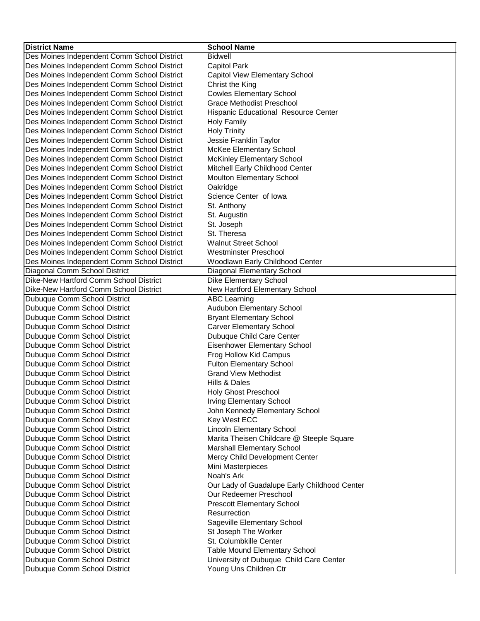| <b>District Name</b>                        | <b>School Name</b>                           |
|---------------------------------------------|----------------------------------------------|
| Des Moines Independent Comm School District | <b>Bidwell</b>                               |
| Des Moines Independent Comm School District | <b>Capitol Park</b>                          |
| Des Moines Independent Comm School District | Capitol View Elementary School               |
| Des Moines Independent Comm School District | Christ the King                              |
| Des Moines Independent Comm School District | <b>Cowles Elementary School</b>              |
| Des Moines Independent Comm School District | <b>Grace Methodist Preschool</b>             |
| Des Moines Independent Comm School District | Hispanic Educational Resource Center         |
| Des Moines Independent Comm School District | <b>Holy Family</b>                           |
| Des Moines Independent Comm School District | <b>Holy Trinity</b>                          |
| Des Moines Independent Comm School District | Jessie Franklin Taylor                       |
| Des Moines Independent Comm School District | McKee Elementary School                      |
| Des Moines Independent Comm School District | <b>McKinley Elementary School</b>            |
| Des Moines Independent Comm School District | Mitchell Early Childhood Center              |
| Des Moines Independent Comm School District | Moulton Elementary School                    |
| Des Moines Independent Comm School District | Oakridge                                     |
| Des Moines Independent Comm School District | Science Center of Iowa                       |
| Des Moines Independent Comm School District | St. Anthony                                  |
| Des Moines Independent Comm School District | St. Augustin                                 |
| Des Moines Independent Comm School District | St. Joseph                                   |
| Des Moines Independent Comm School District | St. Theresa                                  |
| Des Moines Independent Comm School District | <b>Walnut Street School</b>                  |
| Des Moines Independent Comm School District | <b>Westminster Preschool</b>                 |
| Des Moines Independent Comm School District | Woodlawn Early Childhood Center              |
| Diagonal Comm School District               | Diagonal Elementary School                   |
| Dike-New Hartford Comm School District      | Dike Elementary School                       |
| Dike-New Hartford Comm School District      | New Hartford Elementary School               |
| Dubuque Comm School District                | <b>ABC Learning</b>                          |
| Dubuque Comm School District                | Audubon Elementary School                    |
| Dubuque Comm School District                | <b>Bryant Elementary School</b>              |
| Dubuque Comm School District                | <b>Carver Elementary School</b>              |
| Dubuque Comm School District                | Dubuque Child Care Center                    |
| Dubuque Comm School District                | Eisenhower Elementary School                 |
| Dubuque Comm School District                | Frog Hollow Kid Campus                       |
| Dubuque Comm School District                | <b>Fulton Elementary School</b>              |
| Dubuque Comm School District                | <b>Grand View Methodist</b>                  |
| Dubuque Comm School District                | Hills & Dales                                |
| Dubuque Comm School District                | <b>Holy Ghost Preschool</b>                  |
| Dubuque Comm School District                | <b>Irving Elementary School</b>              |
| Dubuque Comm School District                | John Kennedy Elementary School               |
| Dubuque Comm School District                | Key West ECC                                 |
| Dubuque Comm School District                | Lincoln Elementary School                    |
| Dubuque Comm School District                | Marita Theisen Childcare @ Steeple Square    |
| Dubuque Comm School District                | Marshall Elementary School                   |
| Dubuque Comm School District                | Mercy Child Development Center               |
| Dubuque Comm School District                | Mini Masterpieces                            |
| Dubuque Comm School District                | Noah's Ark                                   |
| Dubuque Comm School District                | Our Lady of Guadalupe Early Childhood Center |
| Dubuque Comm School District                | Our Redeemer Preschool                       |
| Dubuque Comm School District                | <b>Prescott Elementary School</b>            |
| Dubuque Comm School District                | Resurrection                                 |
| Dubuque Comm School District                | Sageville Elementary School                  |
| Dubuque Comm School District                | St Joseph The Worker                         |
| Dubuque Comm School District                | St. Columbkille Center                       |
| Dubuque Comm School District                | <b>Table Mound Elementary School</b>         |
| Dubuque Comm School District                | University of Dubuque Child Care Center      |
| Dubuque Comm School District                | Young Uns Children Ctr                       |
|                                             |                                              |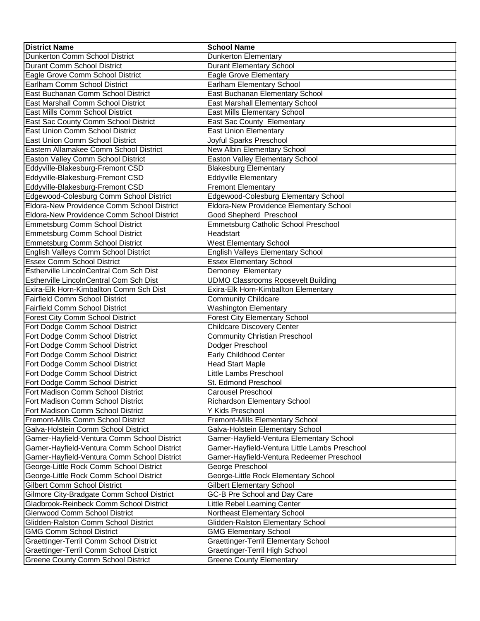| <b>District Name</b>                         | <b>School Name</b>                             |
|----------------------------------------------|------------------------------------------------|
| Dunkerton Comm School District               | Dunkerton Elementary                           |
| Durant Comm School District                  | <b>Durant Elementary School</b>                |
| Eagle Grove Comm School District             | Eagle Grove Elementary                         |
| Earlham Comm School District                 | Earlham Elementary School                      |
| East Buchanan Comm School District           | East Buchanan Elementary School                |
| East Marshall Comm School District           | East Marshall Elementary School                |
| East Mills Comm School District              | East Mills Elementary School                   |
| East Sac County Comm School District         | East Sac County Elementary                     |
| East Union Comm School District              | <b>East Union Elementary</b>                   |
| East Union Comm School District              | Joyful Sparks Preschool                        |
| Eastern Allamakee Comm School District       | New Albin Elementary School                    |
| Easton Valley Comm School District           | Easton Valley Elementary School                |
| Eddyville-Blakesburg-Fremont CSD             | <b>Blakesburg Elementary</b>                   |
| Eddyville-Blakesburg-Fremont CSD             | <b>Eddyville Elementary</b>                    |
| Eddyville-Blakesburg-Fremont CSD             | <b>Fremont Elementary</b>                      |
| Edgewood-Colesburg Comm School District      | Edgewood-Colesburg Elementary School           |
| Eldora-New Providence Comm School District   | Eldora-New Providence Elementary School        |
| Eldora-New Providence Comm School District   | Good Shepherd Preschool                        |
| Emmetsburg Comm School District              | Emmetsburg Catholic School Preschool           |
| Emmetsburg Comm School District              | Headstart                                      |
| Emmetsburg Comm School District              | <b>West Elementary School</b>                  |
| English Valleys Comm School District         | English Valleys Elementary School              |
| <b>Essex Comm School District</b>            | <b>Essex Elementary School</b>                 |
| Estherville LincolnCentral Com Sch Dist      | Demoney Elementary                             |
| Estherville LincolnCentral Com Sch Dist      | <b>UDMO Classrooms Roosevelt Building</b>      |
| Exira-Elk Horn-Kimballton Comm Sch Dist      | Exira-Elk Horn-Kimballton Elementary           |
| Fairfield Comm School District               | <b>Community Childcare</b>                     |
| <b>Fairfield Comm School District</b>        | <b>Washington Elementary</b>                   |
| <b>Forest City Comm School District</b>      | <b>Forest City Elementary School</b>           |
| Fort Dodge Comm School District              | <b>Childcare Discovery Center</b>              |
| Fort Dodge Comm School District              | <b>Community Christian Preschool</b>           |
| Fort Dodge Comm School District              | Dodger Preschool                               |
| Fort Dodge Comm School District              | Early Childhood Center                         |
| Fort Dodge Comm School District              | <b>Head Start Maple</b>                        |
| Fort Dodge Comm School District              | Little Lambs Preschool                         |
| Fort Dodge Comm School District              | St. Edmond Preschool                           |
| Fort Madison Comm School District            | Carousel Preschool                             |
| Fort Madison Comm School District            | Richardson Elementary School                   |
| Fort Madison Comm School District            | Y Kids Preschool                               |
| Fremont-Mills Comm School District           | Fremont-Mills Elementary School                |
| Galva-Holstein Comm School District          | Galva-Holstein Elementary School               |
| Garner-Hayfield-Ventura Comm School District | Garner-Hayfield-Ventura Elementary School      |
| Garner-Hayfield-Ventura Comm School District | Garner-Hayfield-Ventura Little Lambs Preschool |
| Garner-Hayfield-Ventura Comm School District | Garner-Hayfield-Ventura Redeemer Preschool     |
| George-Little Rock Comm School District      | George Preschool                               |
| George-Little Rock Comm School District      | George-Little Rock Elementary School           |
| <b>Gilbert Comm School District</b>          | <b>Gilbert Elementary School</b>               |
| Gilmore City-Bradgate Comm School District   | GC-B Pre School and Day Care                   |
| Gladbrook-Reinbeck Comm School District      | Little Rebel Learning Center                   |
| Glenwood Comm School District                | Northeast Elementary School                    |
| Glidden-Ralston Comm School District         | Glidden-Ralston Elementary School              |
| <b>GMG Comm School District</b>              | <b>GMG Elementary School</b>                   |
| Graettinger-Terril Comm School District      | Graettinger-Terril Elementary School           |
| Graettinger-Terril Comm School District      | Graettinger-Terril High School                 |
| <b>Greene County Comm School District</b>    | <b>Greene County Elementary</b>                |
|                                              |                                                |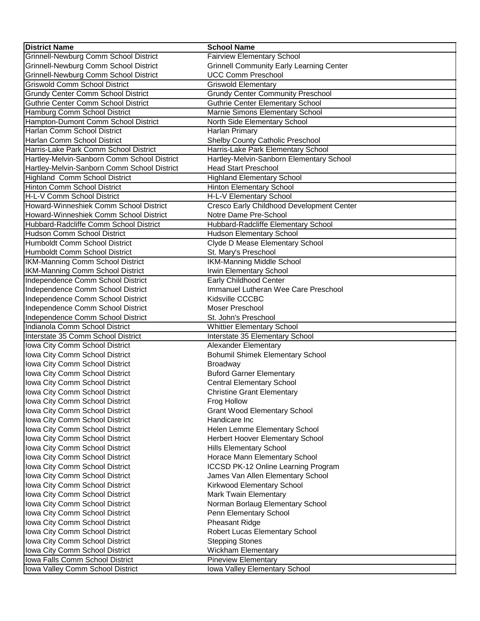| Grinnell-Newburg Comm School District<br><b>Fairview Elementary School</b><br>Grinnell-Newburg Comm School District<br><b>Grinnell Community Early Learning Center</b><br>Grinnell-Newburg Comm School District<br><b>UCC Comm Preschool</b><br><b>Griswold Comm School District</b><br><b>Griswold Elementary</b><br><b>Grundy Center Community Preschool</b><br>Grundy Center Comm School District<br>Guthrie Center Comm School District<br><b>Guthrie Center Elementary School</b><br>Marnie Simons Elementary School<br>Hamburg Comm School District<br>Hampton-Dumont Comm School District<br>North Side Elementary School<br>Harlan Comm School District<br>Harlan Primary<br>Harlan Comm School District<br>Shelby County Catholic Preschool<br>Harris-Lake Park Elementary School<br>Harris-Lake Park Comm School District<br>Hartley-Melvin-Sanborn Comm School District<br>Hartley-Melvin-Sanborn Elementary School<br><b>Head Start Preschool</b><br>Hartley-Melvin-Sanborn Comm School District<br><b>Highland Comm School District</b><br><b>Highland Elementary School</b><br>Hinton Comm School District<br><b>Hinton Elementary School</b><br>H-L-V Comm School District<br>H-L-V Elementary School<br>Cresco Early Childhood Development Center<br>Howard-Winneshiek Comm School District<br>Howard-Winneshiek Comm School District<br>Notre Dame Pre-School<br>Hubbard-Radcliffe Elementary School<br>Hubbard-Radcliffe Comm School District<br>Hudson Comm School District<br><b>Hudson Elementary School</b><br>Clyde D Mease Elementary School<br>Humboldt Comm School District<br>Humboldt Comm School District<br>St. Mary's Preschool<br><b>IKM-Manning Middle School</b><br>IKM-Manning Comm School District<br>IKM-Manning Comm School District<br>Irwin Elementary School<br>Independence Comm School District<br>Early Childhood Center<br>Independence Comm School District<br>Immanuel Lutheran Wee Care Preschool<br>Independence Comm School District<br>Kidsville CCCBC<br>Independence Comm School District<br>Moser Preschool<br>Independence Comm School District<br>St. John's Preschool<br>Indianola Comm School District |
|------------------------------------------------------------------------------------------------------------------------------------------------------------------------------------------------------------------------------------------------------------------------------------------------------------------------------------------------------------------------------------------------------------------------------------------------------------------------------------------------------------------------------------------------------------------------------------------------------------------------------------------------------------------------------------------------------------------------------------------------------------------------------------------------------------------------------------------------------------------------------------------------------------------------------------------------------------------------------------------------------------------------------------------------------------------------------------------------------------------------------------------------------------------------------------------------------------------------------------------------------------------------------------------------------------------------------------------------------------------------------------------------------------------------------------------------------------------------------------------------------------------------------------------------------------------------------------------------------------------------------------------------------------------------------------------------------------------------------------------------------------------------------------------------------------------------------------------------------------------------------------------------------------------------------------------------------------------------------------------------------------------------------------------------------------------------------------------------------------------------------------------------------------------|
|                                                                                                                                                                                                                                                                                                                                                                                                                                                                                                                                                                                                                                                                                                                                                                                                                                                                                                                                                                                                                                                                                                                                                                                                                                                                                                                                                                                                                                                                                                                                                                                                                                                                                                                                                                                                                                                                                                                                                                                                                                                                                                                                                                  |
|                                                                                                                                                                                                                                                                                                                                                                                                                                                                                                                                                                                                                                                                                                                                                                                                                                                                                                                                                                                                                                                                                                                                                                                                                                                                                                                                                                                                                                                                                                                                                                                                                                                                                                                                                                                                                                                                                                                                                                                                                                                                                                                                                                  |
|                                                                                                                                                                                                                                                                                                                                                                                                                                                                                                                                                                                                                                                                                                                                                                                                                                                                                                                                                                                                                                                                                                                                                                                                                                                                                                                                                                                                                                                                                                                                                                                                                                                                                                                                                                                                                                                                                                                                                                                                                                                                                                                                                                  |
|                                                                                                                                                                                                                                                                                                                                                                                                                                                                                                                                                                                                                                                                                                                                                                                                                                                                                                                                                                                                                                                                                                                                                                                                                                                                                                                                                                                                                                                                                                                                                                                                                                                                                                                                                                                                                                                                                                                                                                                                                                                                                                                                                                  |
|                                                                                                                                                                                                                                                                                                                                                                                                                                                                                                                                                                                                                                                                                                                                                                                                                                                                                                                                                                                                                                                                                                                                                                                                                                                                                                                                                                                                                                                                                                                                                                                                                                                                                                                                                                                                                                                                                                                                                                                                                                                                                                                                                                  |
|                                                                                                                                                                                                                                                                                                                                                                                                                                                                                                                                                                                                                                                                                                                                                                                                                                                                                                                                                                                                                                                                                                                                                                                                                                                                                                                                                                                                                                                                                                                                                                                                                                                                                                                                                                                                                                                                                                                                                                                                                                                                                                                                                                  |
|                                                                                                                                                                                                                                                                                                                                                                                                                                                                                                                                                                                                                                                                                                                                                                                                                                                                                                                                                                                                                                                                                                                                                                                                                                                                                                                                                                                                                                                                                                                                                                                                                                                                                                                                                                                                                                                                                                                                                                                                                                                                                                                                                                  |
|                                                                                                                                                                                                                                                                                                                                                                                                                                                                                                                                                                                                                                                                                                                                                                                                                                                                                                                                                                                                                                                                                                                                                                                                                                                                                                                                                                                                                                                                                                                                                                                                                                                                                                                                                                                                                                                                                                                                                                                                                                                                                                                                                                  |
|                                                                                                                                                                                                                                                                                                                                                                                                                                                                                                                                                                                                                                                                                                                                                                                                                                                                                                                                                                                                                                                                                                                                                                                                                                                                                                                                                                                                                                                                                                                                                                                                                                                                                                                                                                                                                                                                                                                                                                                                                                                                                                                                                                  |
|                                                                                                                                                                                                                                                                                                                                                                                                                                                                                                                                                                                                                                                                                                                                                                                                                                                                                                                                                                                                                                                                                                                                                                                                                                                                                                                                                                                                                                                                                                                                                                                                                                                                                                                                                                                                                                                                                                                                                                                                                                                                                                                                                                  |
|                                                                                                                                                                                                                                                                                                                                                                                                                                                                                                                                                                                                                                                                                                                                                                                                                                                                                                                                                                                                                                                                                                                                                                                                                                                                                                                                                                                                                                                                                                                                                                                                                                                                                                                                                                                                                                                                                                                                                                                                                                                                                                                                                                  |
|                                                                                                                                                                                                                                                                                                                                                                                                                                                                                                                                                                                                                                                                                                                                                                                                                                                                                                                                                                                                                                                                                                                                                                                                                                                                                                                                                                                                                                                                                                                                                                                                                                                                                                                                                                                                                                                                                                                                                                                                                                                                                                                                                                  |
|                                                                                                                                                                                                                                                                                                                                                                                                                                                                                                                                                                                                                                                                                                                                                                                                                                                                                                                                                                                                                                                                                                                                                                                                                                                                                                                                                                                                                                                                                                                                                                                                                                                                                                                                                                                                                                                                                                                                                                                                                                                                                                                                                                  |
|                                                                                                                                                                                                                                                                                                                                                                                                                                                                                                                                                                                                                                                                                                                                                                                                                                                                                                                                                                                                                                                                                                                                                                                                                                                                                                                                                                                                                                                                                                                                                                                                                                                                                                                                                                                                                                                                                                                                                                                                                                                                                                                                                                  |
|                                                                                                                                                                                                                                                                                                                                                                                                                                                                                                                                                                                                                                                                                                                                                                                                                                                                                                                                                                                                                                                                                                                                                                                                                                                                                                                                                                                                                                                                                                                                                                                                                                                                                                                                                                                                                                                                                                                                                                                                                                                                                                                                                                  |
|                                                                                                                                                                                                                                                                                                                                                                                                                                                                                                                                                                                                                                                                                                                                                                                                                                                                                                                                                                                                                                                                                                                                                                                                                                                                                                                                                                                                                                                                                                                                                                                                                                                                                                                                                                                                                                                                                                                                                                                                                                                                                                                                                                  |
|                                                                                                                                                                                                                                                                                                                                                                                                                                                                                                                                                                                                                                                                                                                                                                                                                                                                                                                                                                                                                                                                                                                                                                                                                                                                                                                                                                                                                                                                                                                                                                                                                                                                                                                                                                                                                                                                                                                                                                                                                                                                                                                                                                  |
|                                                                                                                                                                                                                                                                                                                                                                                                                                                                                                                                                                                                                                                                                                                                                                                                                                                                                                                                                                                                                                                                                                                                                                                                                                                                                                                                                                                                                                                                                                                                                                                                                                                                                                                                                                                                                                                                                                                                                                                                                                                                                                                                                                  |
|                                                                                                                                                                                                                                                                                                                                                                                                                                                                                                                                                                                                                                                                                                                                                                                                                                                                                                                                                                                                                                                                                                                                                                                                                                                                                                                                                                                                                                                                                                                                                                                                                                                                                                                                                                                                                                                                                                                                                                                                                                                                                                                                                                  |
|                                                                                                                                                                                                                                                                                                                                                                                                                                                                                                                                                                                                                                                                                                                                                                                                                                                                                                                                                                                                                                                                                                                                                                                                                                                                                                                                                                                                                                                                                                                                                                                                                                                                                                                                                                                                                                                                                                                                                                                                                                                                                                                                                                  |
|                                                                                                                                                                                                                                                                                                                                                                                                                                                                                                                                                                                                                                                                                                                                                                                                                                                                                                                                                                                                                                                                                                                                                                                                                                                                                                                                                                                                                                                                                                                                                                                                                                                                                                                                                                                                                                                                                                                                                                                                                                                                                                                                                                  |
|                                                                                                                                                                                                                                                                                                                                                                                                                                                                                                                                                                                                                                                                                                                                                                                                                                                                                                                                                                                                                                                                                                                                                                                                                                                                                                                                                                                                                                                                                                                                                                                                                                                                                                                                                                                                                                                                                                                                                                                                                                                                                                                                                                  |
|                                                                                                                                                                                                                                                                                                                                                                                                                                                                                                                                                                                                                                                                                                                                                                                                                                                                                                                                                                                                                                                                                                                                                                                                                                                                                                                                                                                                                                                                                                                                                                                                                                                                                                                                                                                                                                                                                                                                                                                                                                                                                                                                                                  |
|                                                                                                                                                                                                                                                                                                                                                                                                                                                                                                                                                                                                                                                                                                                                                                                                                                                                                                                                                                                                                                                                                                                                                                                                                                                                                                                                                                                                                                                                                                                                                                                                                                                                                                                                                                                                                                                                                                                                                                                                                                                                                                                                                                  |
|                                                                                                                                                                                                                                                                                                                                                                                                                                                                                                                                                                                                                                                                                                                                                                                                                                                                                                                                                                                                                                                                                                                                                                                                                                                                                                                                                                                                                                                                                                                                                                                                                                                                                                                                                                                                                                                                                                                                                                                                                                                                                                                                                                  |
|                                                                                                                                                                                                                                                                                                                                                                                                                                                                                                                                                                                                                                                                                                                                                                                                                                                                                                                                                                                                                                                                                                                                                                                                                                                                                                                                                                                                                                                                                                                                                                                                                                                                                                                                                                                                                                                                                                                                                                                                                                                                                                                                                                  |
|                                                                                                                                                                                                                                                                                                                                                                                                                                                                                                                                                                                                                                                                                                                                                                                                                                                                                                                                                                                                                                                                                                                                                                                                                                                                                                                                                                                                                                                                                                                                                                                                                                                                                                                                                                                                                                                                                                                                                                                                                                                                                                                                                                  |
|                                                                                                                                                                                                                                                                                                                                                                                                                                                                                                                                                                                                                                                                                                                                                                                                                                                                                                                                                                                                                                                                                                                                                                                                                                                                                                                                                                                                                                                                                                                                                                                                                                                                                                                                                                                                                                                                                                                                                                                                                                                                                                                                                                  |
|                                                                                                                                                                                                                                                                                                                                                                                                                                                                                                                                                                                                                                                                                                                                                                                                                                                                                                                                                                                                                                                                                                                                                                                                                                                                                                                                                                                                                                                                                                                                                                                                                                                                                                                                                                                                                                                                                                                                                                                                                                                                                                                                                                  |
| <b>Whittier Elementary School</b>                                                                                                                                                                                                                                                                                                                                                                                                                                                                                                                                                                                                                                                                                                                                                                                                                                                                                                                                                                                                                                                                                                                                                                                                                                                                                                                                                                                                                                                                                                                                                                                                                                                                                                                                                                                                                                                                                                                                                                                                                                                                                                                                |
| Interstate 35 Comm School District<br>Interstate 35 Elementary School                                                                                                                                                                                                                                                                                                                                                                                                                                                                                                                                                                                                                                                                                                                                                                                                                                                                                                                                                                                                                                                                                                                                                                                                                                                                                                                                                                                                                                                                                                                                                                                                                                                                                                                                                                                                                                                                                                                                                                                                                                                                                            |
| <b>Alexander Elementary</b><br>Iowa City Comm School District                                                                                                                                                                                                                                                                                                                                                                                                                                                                                                                                                                                                                                                                                                                                                                                                                                                                                                                                                                                                                                                                                                                                                                                                                                                                                                                                                                                                                                                                                                                                                                                                                                                                                                                                                                                                                                                                                                                                                                                                                                                                                                    |
| <b>Bohumil Shimek Elementary School</b><br>Iowa City Comm School District                                                                                                                                                                                                                                                                                                                                                                                                                                                                                                                                                                                                                                                                                                                                                                                                                                                                                                                                                                                                                                                                                                                                                                                                                                                                                                                                                                                                                                                                                                                                                                                                                                                                                                                                                                                                                                                                                                                                                                                                                                                                                        |
| Iowa City Comm School District<br><b>Broadway</b>                                                                                                                                                                                                                                                                                                                                                                                                                                                                                                                                                                                                                                                                                                                                                                                                                                                                                                                                                                                                                                                                                                                                                                                                                                                                                                                                                                                                                                                                                                                                                                                                                                                                                                                                                                                                                                                                                                                                                                                                                                                                                                                |
| Iowa City Comm School District<br><b>Buford Garner Elementary</b>                                                                                                                                                                                                                                                                                                                                                                                                                                                                                                                                                                                                                                                                                                                                                                                                                                                                                                                                                                                                                                                                                                                                                                                                                                                                                                                                                                                                                                                                                                                                                                                                                                                                                                                                                                                                                                                                                                                                                                                                                                                                                                |
| Iowa City Comm School District<br><b>Central Elementary School</b>                                                                                                                                                                                                                                                                                                                                                                                                                                                                                                                                                                                                                                                                                                                                                                                                                                                                                                                                                                                                                                                                                                                                                                                                                                                                                                                                                                                                                                                                                                                                                                                                                                                                                                                                                                                                                                                                                                                                                                                                                                                                                               |
| Iowa City Comm School District<br><b>Christine Grant Elementary</b>                                                                                                                                                                                                                                                                                                                                                                                                                                                                                                                                                                                                                                                                                                                                                                                                                                                                                                                                                                                                                                                                                                                                                                                                                                                                                                                                                                                                                                                                                                                                                                                                                                                                                                                                                                                                                                                                                                                                                                                                                                                                                              |
| Iowa City Comm School District<br>Frog Hollow                                                                                                                                                                                                                                                                                                                                                                                                                                                                                                                                                                                                                                                                                                                                                                                                                                                                                                                                                                                                                                                                                                                                                                                                                                                                                                                                                                                                                                                                                                                                                                                                                                                                                                                                                                                                                                                                                                                                                                                                                                                                                                                    |
| Iowa City Comm School District<br><b>Grant Wood Elementary School</b>                                                                                                                                                                                                                                                                                                                                                                                                                                                                                                                                                                                                                                                                                                                                                                                                                                                                                                                                                                                                                                                                                                                                                                                                                                                                                                                                                                                                                                                                                                                                                                                                                                                                                                                                                                                                                                                                                                                                                                                                                                                                                            |
| Iowa City Comm School District<br>Handicare Inc                                                                                                                                                                                                                                                                                                                                                                                                                                                                                                                                                                                                                                                                                                                                                                                                                                                                                                                                                                                                                                                                                                                                                                                                                                                                                                                                                                                                                                                                                                                                                                                                                                                                                                                                                                                                                                                                                                                                                                                                                                                                                                                  |
| Iowa City Comm School District<br>Helen Lemme Elementary School                                                                                                                                                                                                                                                                                                                                                                                                                                                                                                                                                                                                                                                                                                                                                                                                                                                                                                                                                                                                                                                                                                                                                                                                                                                                                                                                                                                                                                                                                                                                                                                                                                                                                                                                                                                                                                                                                                                                                                                                                                                                                                  |
| Iowa City Comm School District<br>Herbert Hoover Elementary School                                                                                                                                                                                                                                                                                                                                                                                                                                                                                                                                                                                                                                                                                                                                                                                                                                                                                                                                                                                                                                                                                                                                                                                                                                                                                                                                                                                                                                                                                                                                                                                                                                                                                                                                                                                                                                                                                                                                                                                                                                                                                               |
| Iowa City Comm School District<br><b>Hills Elementary School</b>                                                                                                                                                                                                                                                                                                                                                                                                                                                                                                                                                                                                                                                                                                                                                                                                                                                                                                                                                                                                                                                                                                                                                                                                                                                                                                                                                                                                                                                                                                                                                                                                                                                                                                                                                                                                                                                                                                                                                                                                                                                                                                 |
| Iowa City Comm School District<br>Horace Mann Elementary School                                                                                                                                                                                                                                                                                                                                                                                                                                                                                                                                                                                                                                                                                                                                                                                                                                                                                                                                                                                                                                                                                                                                                                                                                                                                                                                                                                                                                                                                                                                                                                                                                                                                                                                                                                                                                                                                                                                                                                                                                                                                                                  |
| Iowa City Comm School District<br>ICCSD PK-12 Online Learning Program                                                                                                                                                                                                                                                                                                                                                                                                                                                                                                                                                                                                                                                                                                                                                                                                                                                                                                                                                                                                                                                                                                                                                                                                                                                                                                                                                                                                                                                                                                                                                                                                                                                                                                                                                                                                                                                                                                                                                                                                                                                                                            |
| Iowa City Comm School District<br>James Van Allen Elementary School                                                                                                                                                                                                                                                                                                                                                                                                                                                                                                                                                                                                                                                                                                                                                                                                                                                                                                                                                                                                                                                                                                                                                                                                                                                                                                                                                                                                                                                                                                                                                                                                                                                                                                                                                                                                                                                                                                                                                                                                                                                                                              |
| Iowa City Comm School District<br>Kirkwood Elementary School                                                                                                                                                                                                                                                                                                                                                                                                                                                                                                                                                                                                                                                                                                                                                                                                                                                                                                                                                                                                                                                                                                                                                                                                                                                                                                                                                                                                                                                                                                                                                                                                                                                                                                                                                                                                                                                                                                                                                                                                                                                                                                     |
| Iowa City Comm School District<br>Mark Twain Elementary                                                                                                                                                                                                                                                                                                                                                                                                                                                                                                                                                                                                                                                                                                                                                                                                                                                                                                                                                                                                                                                                                                                                                                                                                                                                                                                                                                                                                                                                                                                                                                                                                                                                                                                                                                                                                                                                                                                                                                                                                                                                                                          |
| Iowa City Comm School District<br>Norman Borlaug Elementary School                                                                                                                                                                                                                                                                                                                                                                                                                                                                                                                                                                                                                                                                                                                                                                                                                                                                                                                                                                                                                                                                                                                                                                                                                                                                                                                                                                                                                                                                                                                                                                                                                                                                                                                                                                                                                                                                                                                                                                                                                                                                                               |
| Iowa City Comm School District<br>Penn Elementary School                                                                                                                                                                                                                                                                                                                                                                                                                                                                                                                                                                                                                                                                                                                                                                                                                                                                                                                                                                                                                                                                                                                                                                                                                                                                                                                                                                                                                                                                                                                                                                                                                                                                                                                                                                                                                                                                                                                                                                                                                                                                                                         |
| Iowa City Comm School District<br><b>Pheasant Ridge</b>                                                                                                                                                                                                                                                                                                                                                                                                                                                                                                                                                                                                                                                                                                                                                                                                                                                                                                                                                                                                                                                                                                                                                                                                                                                                                                                                                                                                                                                                                                                                                                                                                                                                                                                                                                                                                                                                                                                                                                                                                                                                                                          |
| Iowa City Comm School District<br>Robert Lucas Elementary School                                                                                                                                                                                                                                                                                                                                                                                                                                                                                                                                                                                                                                                                                                                                                                                                                                                                                                                                                                                                                                                                                                                                                                                                                                                                                                                                                                                                                                                                                                                                                                                                                                                                                                                                                                                                                                                                                                                                                                                                                                                                                                 |
| Iowa City Comm School District<br><b>Stepping Stones</b>                                                                                                                                                                                                                                                                                                                                                                                                                                                                                                                                                                                                                                                                                                                                                                                                                                                                                                                                                                                                                                                                                                                                                                                                                                                                                                                                                                                                                                                                                                                                                                                                                                                                                                                                                                                                                                                                                                                                                                                                                                                                                                         |
| Iowa City Comm School District<br><b>Wickham Elementary</b>                                                                                                                                                                                                                                                                                                                                                                                                                                                                                                                                                                                                                                                                                                                                                                                                                                                                                                                                                                                                                                                                                                                                                                                                                                                                                                                                                                                                                                                                                                                                                                                                                                                                                                                                                                                                                                                                                                                                                                                                                                                                                                      |
| Iowa Falls Comm School District<br><b>Pineview Elementary</b>                                                                                                                                                                                                                                                                                                                                                                                                                                                                                                                                                                                                                                                                                                                                                                                                                                                                                                                                                                                                                                                                                                                                                                                                                                                                                                                                                                                                                                                                                                                                                                                                                                                                                                                                                                                                                                                                                                                                                                                                                                                                                                    |
| Iowa Valley Elementary School<br>Iowa Valley Comm School District                                                                                                                                                                                                                                                                                                                                                                                                                                                                                                                                                                                                                                                                                                                                                                                                                                                                                                                                                                                                                                                                                                                                                                                                                                                                                                                                                                                                                                                                                                                                                                                                                                                                                                                                                                                                                                                                                                                                                                                                                                                                                                |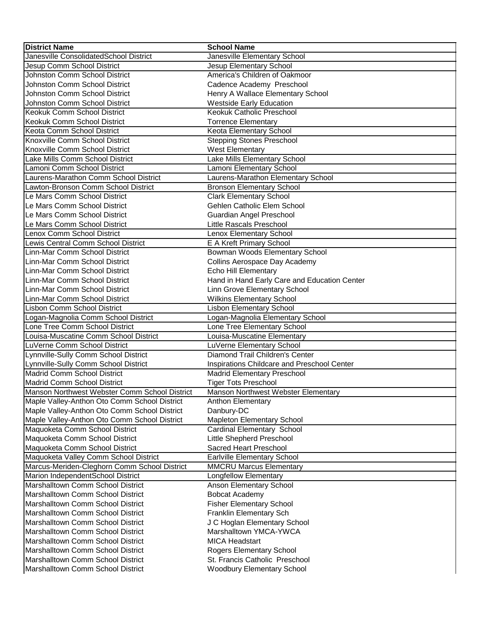| <b>District Name</b>                          | <b>School Name</b>                           |
|-----------------------------------------------|----------------------------------------------|
| Janesville ConsolidatedSchool District        | Janesville Elementary School                 |
| Jesup Comm School District                    | Jesup Elementary School                      |
| Johnston Comm School District                 | America's Children of Oakmoor                |
| <b>Johnston Comm School District</b>          | Cadence Academy Preschool                    |
| <b>Johnston Comm School District</b>          | Henry A Wallace Elementary School            |
| Johnston Comm School District                 | <b>Westside Early Education</b>              |
| Keokuk Comm School District                   | Keokuk Catholic Preschool                    |
| Keokuk Comm School District                   | <b>Torrence Elementary</b>                   |
| Keota Comm School District                    | Keota Elementary School                      |
| Knoxville Comm School District                | <b>Stepping Stones Preschool</b>             |
| Knoxville Comm School District                | <b>West Elementary</b>                       |
| Lake Mills Comm School District               | Lake Mills Elementary School                 |
| Lamoni Comm School District                   | Lamoni Elementary School                     |
| Laurens-Marathon Comm School District         | Laurens-Marathon Elementary School           |
| Lawton-Bronson Comm School District           | <b>Bronson Elementary School</b>             |
| Le Mars Comm School District                  | <b>Clark Elementary School</b>               |
| Le Mars Comm School District                  | Gehlen Catholic Elem School                  |
| Le Mars Comm School District                  | Guardian Angel Preschool                     |
| Le Mars Comm School District                  | Little Rascals Preschool                     |
| Lenox Comm School District                    | Lenox Elementary School                      |
| Lewis Central Comm School District            | E A Kreft Primary School                     |
| Linn-Mar Comm School District                 | Bowman Woods Elementary School               |
| Linn-Mar Comm School District                 | Collins Aerospace Day Academy                |
| Linn-Mar Comm School District                 | <b>Echo Hill Elementary</b>                  |
| Linn-Mar Comm School District                 | Hand in Hand Early Care and Education Center |
| Linn-Mar Comm School District                 | Linn Grove Elementary School                 |
| Linn-Mar Comm School District                 | <b>Wilkins Elementary School</b>             |
| Lisbon Comm School District                   | <b>Lisbon Elementary School</b>              |
| Logan-Magnolia Comm School District           | Logan-Magnolia Elementary School             |
| Lone Tree Comm School District                | Lone Tree Elementary School                  |
| Louisa-Muscatine Comm School District         | Louisa-Muscatine Elementary                  |
| LuVerne Comm School District                  | LuVerne Elementary School                    |
| Lynnville-Sully Comm School District          | Diamond Trail Children's Center              |
| Lynnville-Sully Comm School District          | Inspirations Childcare and Preschool Center  |
| Madrid Comm School District                   | <b>Madrid Elementary Preschool</b>           |
| Madrid Comm School District                   | <b>Tiger Tots Preschool</b>                  |
| Manson Northwest Webster Comm School District | Manson Northwest Webster Elementary          |
| Maple Valley-Anthon Oto Comm School District  | <b>Anthon Elementary</b>                     |
| Maple Valley-Anthon Oto Comm School District  | Danbury-DC                                   |
| Maple Valley-Anthon Oto Comm School District  | <b>Mapleton Elementary School</b>            |
| Maquoketa Comm School District                | Cardinal Elementary School                   |
| Maquoketa Comm School District                | Little Shepherd Preschool                    |
| Maquoketa Comm School District                | Sacred Heart Preschool                       |
| Maquoketa Valley Comm School District         | <b>Earlville Elementary School</b>           |
| Marcus-Meriden-Cleghorn Comm School District  | <b>MMCRU Marcus Elementary</b>               |
| Marion IndependentSchool District             | Longfellow Elementary                        |
| Marshalltown Comm School District             | Anson Elementary School                      |
| Marshalltown Comm School District             | <b>Bobcat Academy</b>                        |
| Marshalltown Comm School District             | <b>Fisher Elementary School</b>              |
| Marshalltown Comm School District             | Franklin Elementary Sch                      |
| Marshalltown Comm School District             | J C Hoglan Elementary School                 |
| Marshalltown Comm School District             | Marshalltown YMCA-YWCA                       |
| Marshalltown Comm School District             | <b>MICA Headstart</b>                        |
| Marshalltown Comm School District             | Rogers Elementary School                     |
| Marshalltown Comm School District             | St. Francis Catholic Preschool               |
| Marshalltown Comm School District             | <b>Woodbury Elementary School</b>            |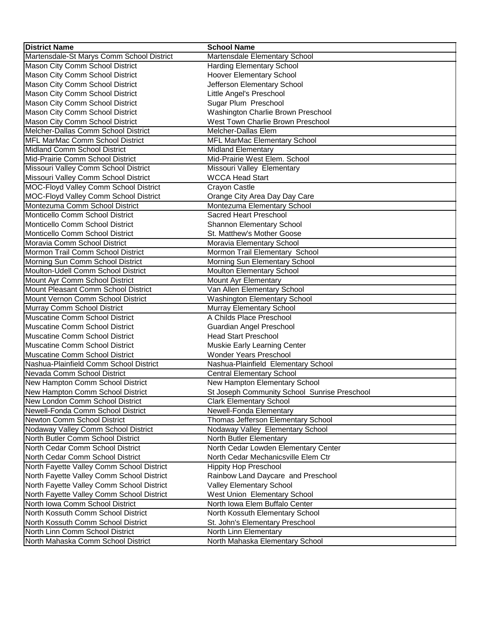| <b>District Name</b>                      | <b>School Name</b>                           |
|-------------------------------------------|----------------------------------------------|
| Martensdale-St Marys Comm School District | Martensdale Elementary School                |
| Mason City Comm School District           | <b>Harding Elementary School</b>             |
| Mason City Comm School District           | Hoover Elementary School                     |
| Mason City Comm School District           | Jefferson Elementary School                  |
| Mason City Comm School District           | Little Angel's Preschool                     |
| Mason City Comm School District           | Sugar Plum Preschool                         |
| Mason City Comm School District           | Washington Charlie Brown Preschool           |
| Mason City Comm School District           | West Town Charlie Brown Preschool            |
| Melcher-Dallas Comm School District       | Melcher-Dallas Elem                          |
| <b>MFL MarMac Comm School District</b>    | MFL MarMac Elementary School                 |
| Midland Comm School District              | <b>Midland Elementary</b>                    |
| Mid-Prairie Comm School District          | Mid-Prairie West Elem. School                |
| Missouri Valley Comm School District      | Missouri Valley Elementary                   |
| Missouri Valley Comm School District      | <b>WCCA Head Start</b>                       |
| MOC-Floyd Valley Comm School District     | Crayon Castle                                |
| MOC-Floyd Valley Comm School District     | Orange City Area Day Day Care                |
| Montezuma Comm School District            | Montezuma Elementary School                  |
| Monticello Comm School District           | Sacred Heart Preschool                       |
| Monticello Comm School District           | Shannon Elementary School                    |
| Monticello Comm School District           | St. Matthew's Mother Goose                   |
| Moravia Comm School District              | Moravia Elementary School                    |
| Mormon Trail Comm School District         | Mormon Trail Elementary School               |
| Morning Sun Comm School District          | Morning Sun Elementary School                |
| Moulton-Udell Comm School District        | Moulton Elementary School                    |
| Mount Ayr Comm School District            | Mount Ayr Elementary                         |
| Mount Pleasant Comm School District       | Van Allen Elementary School                  |
| Mount Vernon Comm School District         | <b>Washington Elementary School</b>          |
| Murray Comm School District               | Murray Elementary School                     |
| Muscatine Comm School District            | A Childs Place Preschool                     |
| Muscatine Comm School District            | Guardian Angel Preschool                     |
| Muscatine Comm School District            | <b>Head Start Preschool</b>                  |
| Muscatine Comm School District            | Muskie Early Learning Center                 |
| Muscatine Comm School District            | Wonder Years Preschool                       |
| Nashua-Plainfield Comm School District    | Nashua-Plainfield Elementary School          |
| Nevada Comm School District               | <b>Central Elementary School</b>             |
| New Hampton Comm School District          | New Hampton Elementary School                |
| New Hampton Comm School District          | St Joseph Community School Sunrise Preschool |
| New London Comm School District           | <b>Clark Elementary School</b>               |
| Newell-Fonda Comm School District         | Newell-Fonda Elementary                      |
| Newton Comm School District               | Thomas Jefferson Elementary School           |
| Nodaway Valley Comm School District       | Nodaway Valley Elementary School             |
| North Butler Comm School District         | North Butler Elementary                      |
| North Cedar Comm School District          | North Cedar Lowden Elementary Center         |
| North Cedar Comm School District          | North Cedar Mechanicsville Elem Ctr          |
| North Fayette Valley Comm School District | <b>Hippity Hop Preschool</b>                 |
| North Fayette Valley Comm School District | Rainbow Land Daycare and Preschool           |
| North Fayette Valley Comm School District | Valley Elementary School                     |
| North Fayette Valley Comm School District | West Union Elementary School                 |
| North Iowa Comm School District           | North Iowa Elem Buffalo Center               |
| North Kossuth Comm School District        | North Kossuth Elementary School              |
| North Kossuth Comm School District        | St. John's Elementary Preschool              |
| North Linn Comm School District           | North Linn Elementary                        |
| North Mahaska Comm School District        | North Mahaska Elementary School              |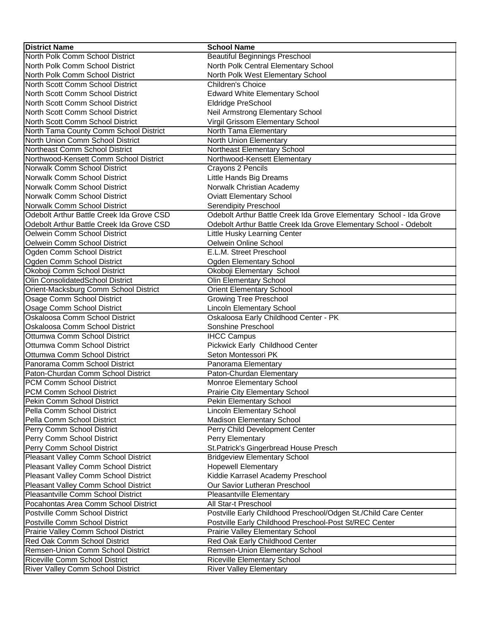| <b>District Name</b>                      | <b>School Name</b>                                                  |
|-------------------------------------------|---------------------------------------------------------------------|
| North Polk Comm School District           | <b>Beautiful Beginnings Preschool</b>                               |
| North Polk Comm School District           | North Polk Central Elementary School                                |
| North Polk Comm School District           | North Polk West Elementary School                                   |
| North Scott Comm School District          | Children's Choice                                                   |
| North Scott Comm School District          | <b>Edward White Elementary School</b>                               |
| North Scott Comm School District          | Eldridge PreSchool                                                  |
| North Scott Comm School District          | Neil Armstrong Elementary School                                    |
| North Scott Comm School District          | Virgil Grissom Elementary School                                    |
| North Tama County Comm School District    | North Tama Elementary                                               |
| North Union Comm School District          | North Union Elementary                                              |
| Northeast Comm School District            | Northeast Elementary School                                         |
| Northwood-Kensett Comm School District    | Northwood-Kensett Elementary                                        |
| Norwalk Comm School District              | Crayons 2 Pencils                                                   |
| Norwalk Comm School District              | Little Hands Big Dreams                                             |
| Norwalk Comm School District              | Norwalk Christian Academy                                           |
| Norwalk Comm School District              | <b>Oviatt Elementary School</b>                                     |
| Norwalk Comm School District              | <b>Serendipity Preschool</b>                                        |
| Odebolt Arthur Battle Creek Ida Grove CSD | Odebolt Arthur Battle Creek Ida Grove Elementary School - Ida Grove |
| Odebolt Arthur Battle Creek Ida Grove CSD | Odebolt Arthur Battle Creek Ida Grove Elementary School - Odebolt   |
| Oelwein Comm School District              | Little Husky Learning Center                                        |
| Oelwein Comm School District              | Oelwein Online School                                               |
| Ogden Comm School District                | E.L.M. Street Preschool                                             |
| Ogden Comm School District                | <b>Ogden Elementary School</b>                                      |
| Okoboji Comm School District              | Okoboji Elementary School                                           |
| Olin ConsolidatedSchool District          | <b>Olin Elementary School</b>                                       |
| Orient-Macksburg Comm School District     | <b>Orient Elementary School</b>                                     |
| Osage Comm School District                | <b>Growing Tree Preschool</b>                                       |
| Osage Comm School District                | Lincoln Elementary School                                           |
| Oskaloosa Comm School District            | Oskaloosa Early Childhood Center - PK                               |
| Oskaloosa Comm School District            | Sonshine Preschool                                                  |
| <b>Ottumwa Comm School District</b>       | <b>IHCC Campus</b>                                                  |
| <b>Ottumwa Comm School District</b>       | Pickwick Early Childhood Center                                     |
| Ottumwa Comm School District              | Seton Montessori PK                                                 |
| Panorama Comm School District             | Panorama Elementary                                                 |
| Paton-Churdan Comm School District        | Paton-Churdan Elementary                                            |
| PCM Comm School District                  | Monroe Elementary School                                            |
| PCM Comm School District                  | Prairie City Elementary School                                      |
| Pekin Comm School District                | Pekin Elementary School                                             |
| Pella Comm School District                | Lincoln Elementary School                                           |
| Pella Comm School District                | Madison Elementary School                                           |
| Perry Comm School District                | Perry Child Development Center                                      |
| Perry Comm School District                | Perry Elementary                                                    |
| Perry Comm School District                | St.Patrick's Gingerbread House Presch                               |
| Pleasant Valley Comm School District      | <b>Bridgeview Elementary School</b>                                 |
| Pleasant Valley Comm School District      | <b>Hopewell Elementary</b>                                          |
| Pleasant Valley Comm School District      | Kiddie Karrasel Academy Preschool                                   |
| Pleasant Valley Comm School District      | Our Savior Lutheran Preschool                                       |
| Pleasantville Comm School District        | <b>Pleasantville Elementary</b>                                     |
| Pocahontas Area Comm School District      | All Star-t Preschool                                                |
| Postville Comm School District            | Postville Early Childhood Preschool/Odgen St./Child Care Center     |
| Postville Comm School District            | Postville Early Childhood Preschool-Post St/REC Center              |
| Prairie Valley Comm School District       | Prairie Valley Elementary School                                    |
| Red Oak Comm School District              | Red Oak Early Childhood Center                                      |
| Remsen-Union Comm School District         | Remsen-Union Elementary School                                      |
| Riceville Comm School District            | <b>Riceville Elementary School</b>                                  |
| <b>River Valley Comm School District</b>  | <b>River Valley Elementary</b>                                      |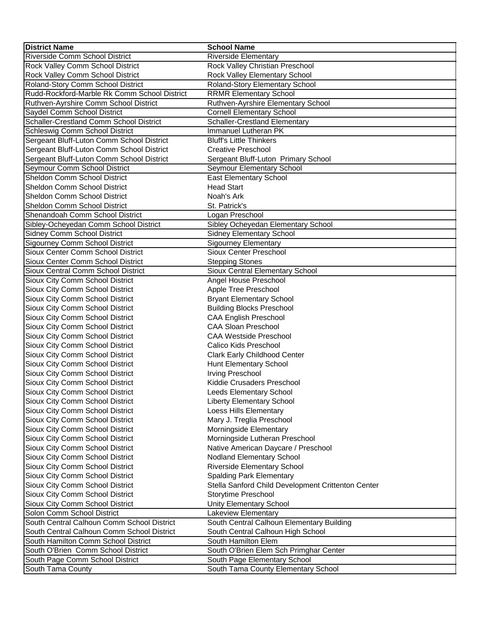| <b>District Name</b>                         | <b>School Name</b>                                 |
|----------------------------------------------|----------------------------------------------------|
| Riverside Comm School District               | Riverside Elementary                               |
| Rock Valley Comm School District             | Rock Valley Christian Preschool                    |
| Rock Valley Comm School District             | Rock Valley Elementary School                      |
| Roland-Story Comm School District            | Roland-Story Elementary School                     |
| Rudd-Rockford-Marble Rk Comm School District | <b>RRMR Elementary School</b>                      |
| Ruthven-Ayrshire Comm School District        | Ruthven-Ayrshire Elementary School                 |
| Saydel Comm School District                  | <b>Cornell Elementary School</b>                   |
| Schaller-Crestland Comm School District      | <b>Schaller-Crestland Elementary</b>               |
| Schleswig Comm School District               | Immanuel Lutheran PK                               |
| Sergeant Bluff-Luton Comm School District    | <b>Bluff's Little Thinkers</b>                     |
| Sergeant Bluff-Luton Comm School District    | <b>Creative Preschool</b>                          |
| Sergeant Bluff-Luton Comm School District    | Sergeant Bluff-Luton Primary School                |
| Seymour Comm School District                 | Seymour Elementary School                          |
| Sheldon Comm School District                 | <b>East Elementary School</b>                      |
| <b>Sheldon Comm School District</b>          | <b>Head Start</b>                                  |
| Sheldon Comm School District                 | Noah's Ark                                         |
| Sheldon Comm School District                 | St. Patrick's                                      |
| Shenandoah Comm School District              | Logan Preschool                                    |
| Sibley-Ocheyedan Comm School District        | Sibley Ocheyedan Elementary School                 |
| Sidney Comm School District                  | <b>Sidney Elementary School</b>                    |
| Sigourney Comm School District               | <b>Sigourney Elementary</b>                        |
| Sioux Center Comm School District            | Sioux Center Preschool                             |
| Sioux Center Comm School District            | <b>Stepping Stones</b>                             |
| Sioux Central Comm School District           | Sioux Central Elementary School                    |
| Sioux City Comm School District              | Angel House Preschool                              |
| Sioux City Comm School District              | Apple Tree Preschool                               |
| Sioux City Comm School District              | <b>Bryant Elementary School</b>                    |
| Sioux City Comm School District              | <b>Building Blocks Preschool</b>                   |
| Sioux City Comm School District              | <b>CAA English Preschool</b>                       |
| Sioux City Comm School District              | <b>CAA Sloan Preschool</b>                         |
| Sioux City Comm School District              | <b>CAA Westside Preschool</b>                      |
| Sioux City Comm School District              | Calico Kids Preschool                              |
| Sioux City Comm School District              | Clark Early Childhood Center                       |
| Sioux City Comm School District              | Hunt Elementary School                             |
| Sioux City Comm School District              | Irving Preschool                                   |
| Sioux City Comm School District              | Kiddie Crusaders Preschool                         |
| Sioux City Comm School District              | Leeds Elementary School                            |
| Sioux City Comm School District              | <b>Liberty Elementary School</b>                   |
| Sioux City Comm School District              | Loess Hills Elementary                             |
| Sioux City Comm School District              | Mary J. Treglia Preschool                          |
| Sioux City Comm School District              | Morningside Elementary                             |
| Sioux City Comm School District              | Morningside Lutheran Preschool                     |
| Sioux City Comm School District              | Native American Daycare / Preschool                |
| Sioux City Comm School District              | Nodland Elementary School                          |
| Sioux City Comm School District              | <b>Riverside Elementary School</b>                 |
| Sioux City Comm School District              | <b>Spalding Park Elementary</b>                    |
| Sioux City Comm School District              | Stella Sanford Child Development Crittenton Center |
| Sioux City Comm School District              | Storytime Preschool                                |
| Sioux City Comm School District              | <b>Unity Elementary School</b>                     |
| Solon Comm School District                   | Lakeview Elementary                                |
| South Central Calhoun Comm School District   | South Central Calhoun Elementary Building          |
| South Central Calhoun Comm School District   | South Central Calhoun High School                  |
| South Hamilton Comm School District          | South Hamilton Elem                                |
| South O'Brien Comm School District           | South O'Brien Elem Sch Primghar Center             |
| South Page Comm School District              | South Page Elementary School                       |
| South Tama County                            | South Tama County Elementary School                |
|                                              |                                                    |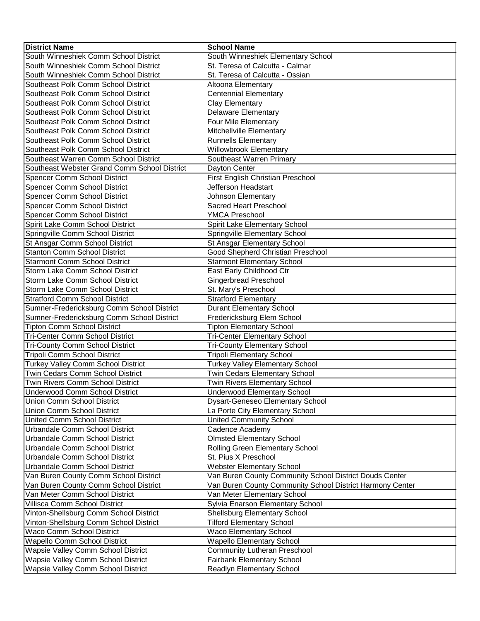| <b>District Name</b>                         | <b>School Name</b>                                        |
|----------------------------------------------|-----------------------------------------------------------|
| South Winneshiek Comm School District        | South Winneshiek Elementary School                        |
| South Winneshiek Comm School District        | St. Teresa of Calcutta - Calmar                           |
| South Winneshiek Comm School District        | St. Teresa of Calcutta - Ossian                           |
| Southeast Polk Comm School District          | Altoona Elementary                                        |
| Southeast Polk Comm School District          | <b>Centennial Elementary</b>                              |
| Southeast Polk Comm School District          | <b>Clay Elementary</b>                                    |
| Southeast Polk Comm School District          | Delaware Elementary                                       |
| Southeast Polk Comm School District          | Four Mile Elementary                                      |
| Southeast Polk Comm School District          | Mitchellville Elementary                                  |
| Southeast Polk Comm School District          | <b>Runnells Elementary</b>                                |
| Southeast Polk Comm School District          | <b>Willowbrook Elementary</b>                             |
| Southeast Warren Comm School District        | Southeast Warren Primary                                  |
| Southeast Webster Grand Comm School District | Dayton Center                                             |
| Spencer Comm School District                 | First English Christian Preschool                         |
| Spencer Comm School District                 | Jefferson Headstart                                       |
| Spencer Comm School District                 | Johnson Elementary                                        |
| Spencer Comm School District                 | <b>Sacred Heart Preschool</b>                             |
| Spencer Comm School District                 | <b>YMCA Preschool</b>                                     |
| Spirit Lake Comm School District             | Spirit Lake Elementary School                             |
| Springville Comm School District             | Springville Elementary School                             |
| St Ansgar Comm School District               | St Ansgar Elementary School                               |
| <b>Stanton Comm School District</b>          | Good Shepherd Christian Preschool                         |
| <b>Starmont Comm School District</b>         | <b>Starmont Elementary School</b>                         |
| Storm Lake Comm School District              |                                                           |
|                                              | East Early Childhood Ctr                                  |
| Storm Lake Comm School District              | Gingerbread Preschool                                     |
| Storm Lake Comm School District              | St. Mary's Preschool                                      |
| <b>Stratford Comm School District</b>        | <b>Stratford Elementary</b>                               |
| Sumner-Fredericksburg Comm School District   | <b>Durant Elementary School</b>                           |
| Sumner-Fredericksburg Comm School District   | Fredericksburg Elem School                                |
| <b>Tipton Comm School District</b>           | <b>Tipton Elementary School</b>                           |
| <b>Tri-Center Comm School District</b>       | <b>Tri-Center Elementary School</b>                       |
| <b>Tri-County Comm School District</b>       | <b>Tri-County Elementary School</b>                       |
| <b>Tripoli Comm School District</b>          | <b>Tripoli Elementary School</b>                          |
| Turkey Valley Comm School District           | <b>Turkey Valley Elementary School</b>                    |
| Twin Cedars Comm School District             | <b>Twin Cedars Elementary School</b>                      |
| Twin Rivers Comm School District             | Twin Rivers Elementary School                             |
| Underwood Comm School District               | <b>Underwood Elementary School</b>                        |
| Union Comm School District                   | <b>Dysart-Geneseo Elementary School</b>                   |
| Union Comm School District                   | La Porte City Elementary School                           |
| United Comm School District                  | <b>United Community School</b>                            |
| Urbandale Comm School District               | Cadence Academy                                           |
| Urbandale Comm School District               | <b>Olmsted Elementary School</b>                          |
| Urbandale Comm School District               | Rolling Green Elementary School                           |
| Urbandale Comm School District               | St. Pius X Preschool                                      |
| Urbandale Comm School District               | Webster Elementary School                                 |
| Van Buren County Comm School District        | Van Buren County Community School District Douds Center   |
| Van Buren County Comm School District        | Van Buren County Community School District Harmony Center |
| Van Meter Comm School District               | Van Meter Elementary School                               |
| Villisca Comm School District                | Sylvia Enarson Elementary School                          |
| Vinton-Shellsburg Comm School District       | Shellsburg Elementary School                              |
| Vinton-Shellsburg Comm School District       | <b>Tilford Elementary School</b>                          |
| Waco Comm School District                    | Waco Elementary School                                    |
| Wapello Comm School District                 | <b>Wapello Elementary School</b>                          |
| Wapsie Valley Comm School District           | <b>Community Lutheran Preschool</b>                       |
| Wapsie Valley Comm School District           | <b>Fairbank Elementary School</b>                         |
| Wapsie Valley Comm School District           | Readlyn Elementary School                                 |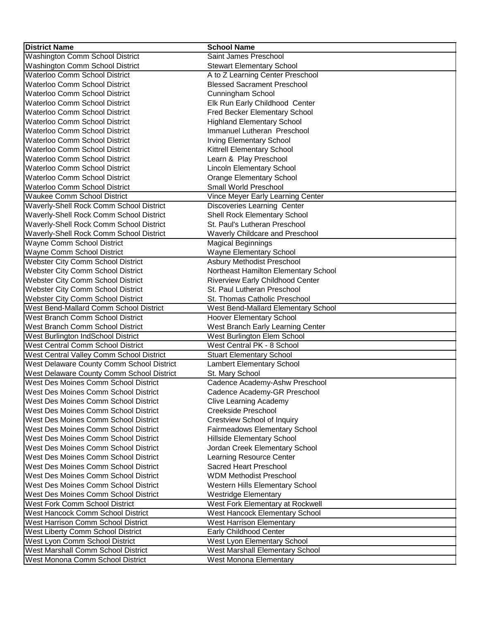| <b>District Name</b>                        | <b>School Name</b>                   |
|---------------------------------------------|--------------------------------------|
| Washington Comm School District             | Saint James Preschool                |
| Washington Comm School District             | <b>Stewart Elementary School</b>     |
| <b>Waterloo Comm School District</b>        | A to Z Learning Center Preschool     |
| <b>Waterloo Comm School District</b>        | <b>Blessed Sacrament Preschool</b>   |
| <b>Waterloo Comm School District</b>        | Cunningham School                    |
| <b>Waterloo Comm School District</b>        | Elk Run Early Childhood Center       |
| <b>Waterloo Comm School District</b>        | Fred Becker Elementary School        |
| <b>Waterloo Comm School District</b>        | <b>Highland Elementary School</b>    |
| <b>Waterloo Comm School District</b>        | Immanuel Lutheran Preschool          |
| <b>Waterloo Comm School District</b>        | <b>Irving Elementary School</b>      |
| Waterloo Comm School District               | Kittrell Elementary School           |
| <b>Waterloo Comm School District</b>        | Learn & Play Preschool               |
| <b>Waterloo Comm School District</b>        | Lincoln Elementary School            |
| <b>Waterloo Comm School District</b>        | <b>Orange Elementary School</b>      |
| <b>Waterloo Comm School District</b>        | Small World Preschool                |
| <b>Waukee Comm School District</b>          | Vince Meyer Early Learning Center    |
| Waverly-Shell Rock Comm School District     | Discoveries Learning Center          |
| Waverly-Shell Rock Comm School District     | Shell Rock Elementary School         |
| Waverly-Shell Rock Comm School District     | St. Paul's Lutheran Preschool        |
| Waverly-Shell Rock Comm School District     | Waverly Childcare and Preschool      |
| <b>Wayne Comm School District</b>           | <b>Magical Beginnings</b>            |
| Wayne Comm School District                  | Wayne Elementary School              |
| Webster City Comm School District           | Asbury Methodist Preschool           |
| Webster City Comm School District           | Northeast Hamilton Elementary School |
| Webster City Comm School District           | Riverview Early Childhood Center     |
| Webster City Comm School District           | St. Paul Lutheran Preschool          |
| Webster City Comm School District           | St. Thomas Catholic Preschool        |
| West Bend-Mallard Comm School District      | West Bend-Mallard Elementary School  |
| <b>West Branch Comm School District</b>     | <b>Hoover Elementary School</b>      |
| West Branch Comm School District            | West Branch Early Learning Center    |
| <b>West Burlington IndSchool District</b>   | West Burlington Elem School          |
| <b>West Central Comm School District</b>    | West Central PK - 8 School           |
| West Central Valley Comm School District    | <b>Stuart Elementary School</b>      |
| West Delaware County Comm School District   | Lambert Elementary School            |
| West Delaware County Comm School District   | St. Mary School                      |
| <b>West Des Moines Comm School District</b> | Cadence Academy-Ashw Preschool       |
| West Des Moines Comm School District        | Cadence Academy-GR Preschool         |
| <b>West Des Moines Comm School District</b> | <b>Clive Learning Academy</b>        |
| <b>West Des Moines Comm School District</b> | Creekside Preschool                  |
| <b>West Des Moines Comm School District</b> | <b>Crestview School of Inquiry</b>   |
| <b>West Des Moines Comm School District</b> | Fairmeadows Elementary School        |
| <b>West Des Moines Comm School District</b> | Hillside Elementary School           |
| <b>West Des Moines Comm School District</b> | Jordan Creek Elementary School       |
| <b>West Des Moines Comm School District</b> | Learning Resource Center             |
| West Des Moines Comm School District        | Sacred Heart Preschool               |
| <b>West Des Moines Comm School District</b> | <b>WDM Methodist Preschool</b>       |
| <b>West Des Moines Comm School District</b> | Western Hills Elementary School      |
| West Des Moines Comm School District        | <b>Westridge Elementary</b>          |
| <b>West Fork Comm School District</b>       | West Fork Elementary at Rockwell     |
| <b>West Hancock Comm School District</b>    | West Hancock Elementary School       |
| <b>West Harrison Comm School District</b>   | <b>West Harrison Elementary</b>      |
| West Liberty Comm School District           | Early Childhood Center               |
| West Lyon Comm School District              | West Lyon Elementary School          |
| <b>West Marshall Comm School District</b>   | West Marshall Elementary School      |
| West Monona Comm School District            | West Monona Elementary               |
|                                             |                                      |